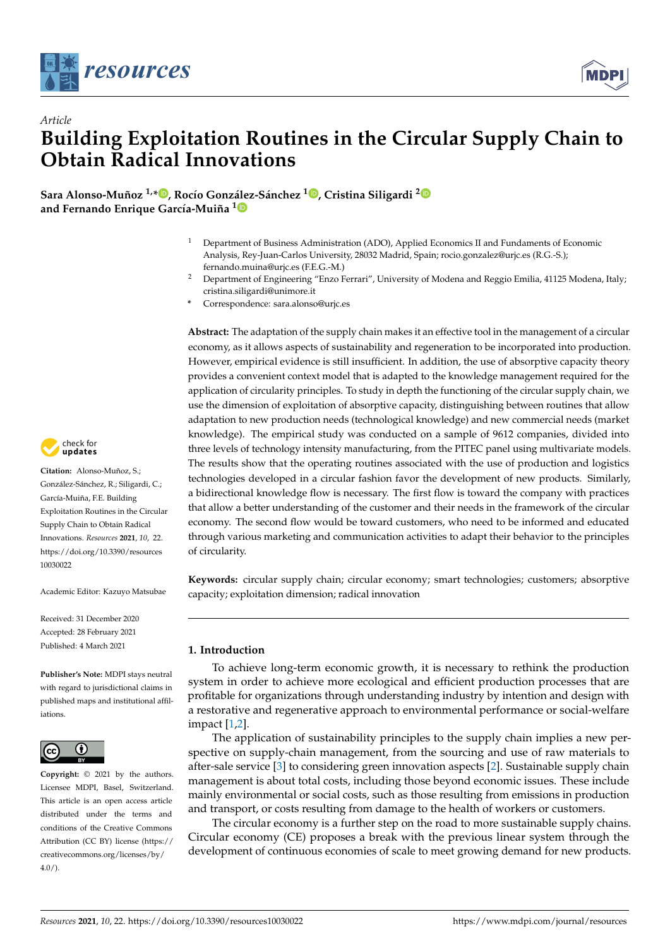

*Article*



# **Building Exploitation Routines in the Circular Supply Chain to Obtain Radical Innovations**

**Sara Alonso-Muñoz 1,\* [,](https://orcid.org/0000-0001-8991-5781) Rocío González-Sánchez <sup>1</sup> [,](https://orcid.org/0000-0002-5460-6652) Cristina Siligardi [2](https://orcid.org/0000-0003-1642-832X) and Fernando Enrique García-Muiña [1](https://orcid.org/0000-0002-7807-3715)**

- <sup>1</sup> Department of Business Administration (ADO), Applied Economics II and Fundaments of Economic Analysis, Rey-Juan-Carlos University, 28032 Madrid, Spain; rocio.gonzalez@urjc.es (R.G.-S.); fernando.muina@urjc.es (F.E.G.-M.)
- <sup>2</sup> Department of Engineering "Enzo Ferrari", University of Modena and Reggio Emilia, 41125 Modena, Italy; cristina.siligardi@unimore.it
- **\*** Correspondence: sara.alonso@urjc.es

**Abstract:** The adaptation of the supply chain makes it an effective tool in the management of a circular economy, as it allows aspects of sustainability and regeneration to be incorporated into production. However, empirical evidence is still insufficient. In addition, the use of absorptive capacity theory provides a convenient context model that is adapted to the knowledge management required for the application of circularity principles. To study in depth the functioning of the circular supply chain, we use the dimension of exploitation of absorptive capacity, distinguishing between routines that allow adaptation to new production needs (technological knowledge) and new commercial needs (market knowledge). The empirical study was conducted on a sample of 9612 companies, divided into three levels of technology intensity manufacturing, from the PITEC panel using multivariate models. The results show that the operating routines associated with the use of production and logistics technologies developed in a circular fashion favor the development of new products. Similarly, a bidirectional knowledge flow is necessary. The first flow is toward the company with practices that allow a better understanding of the customer and their needs in the framework of the circular economy. The second flow would be toward customers, who need to be informed and educated through various marketing and communication activities to adapt their behavior to the principles of circularity.

**Keywords:** circular supply chain; circular economy; smart technologies; customers; absorptive capacity; exploitation dimension; radical innovation

# **1. Introduction**

To achieve long-term economic growth, it is necessary to rethink the production system in order to achieve more ecological and efficient production processes that are profitable for organizations through understanding industry by intention and design with a restorative and regenerative approach to environmental performance or social-welfare impact [\[1](#page-14-0)[,2\]](#page-14-1).

The application of sustainability principles to the supply chain implies a new perspective on supply-chain management, from the sourcing and use of raw materials to after-sale service [\[3\]](#page-14-2) to considering green innovation aspects [\[2\]](#page-14-1). Sustainable supply chain management is about total costs, including those beyond economic issues. These include mainly environmental or social costs, such as those resulting from emissions in production and transport, or costs resulting from damage to the health of workers or customers.

The circular economy is a further step on the road to more sustainable supply chains. Circular economy (CE) proposes a break with the previous linear system through the development of continuous economies of scale to meet growing demand for new products.



**Citation:** Alonso-Muñoz, S.; González-Sánchez, R.; Siligardi, C.; García-Muiña, F.E. Building Exploitation Routines in the Circular Supply Chain to Obtain Radical Innovations. *Resources* **2021**, *10*, 22. [https://doi.org/10.3390/resources](https://doi.org/10.3390/resources10030022) [10030022](https://doi.org/10.3390/resources10030022)

Academic Editor: Kazuyo Matsubae

Received: 31 December 2020 Accepted: 28 February 2021 Published: 4 March 2021

**Publisher's Note:** MDPI stays neutral with regard to jurisdictional claims in published maps and institutional affiliations.



**Copyright:** © 2021 by the authors. Licensee MDPI, Basel, Switzerland. This article is an open access article distributed under the terms and conditions of the Creative Commons Attribution (CC BY) license (https:/[/](https://creativecommons.org/licenses/by/4.0/) [creativecommons.org/licenses/by/](https://creativecommons.org/licenses/by/4.0/)  $4.0/$ ).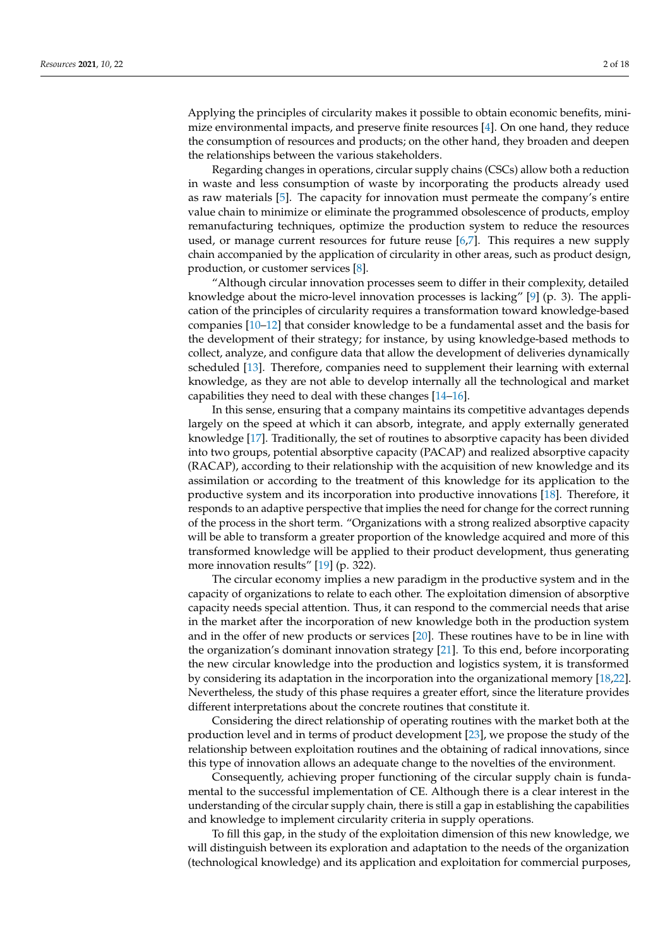Applying the principles of circularity makes it possible to obtain economic benefits, minimize environmental impacts, and preserve finite resources [\[4\]](#page-14-3). On one hand, they reduce the consumption of resources and products; on the other hand, they broaden and deepen the relationships between the various stakeholders.

Regarding changes in operations, circular supply chains (CSCs) allow both a reduction in waste and less consumption of waste by incorporating the products already used as raw materials [\[5\]](#page-14-4). The capacity for innovation must permeate the company's entire value chain to minimize or eliminate the programmed obsolescence of products, employ remanufacturing techniques, optimize the production system to reduce the resources used, or manage current resources for future reuse [\[6,](#page-14-5)[7\]](#page-14-6). This requires a new supply chain accompanied by the application of circularity in other areas, such as product design, production, or customer services [\[8\]](#page-14-7).

"Although circular innovation processes seem to differ in their complexity, detailed knowledge about the micro-level innovation processes is lacking" [\[9\]](#page-14-8) (p. 3). The application of the principles of circularity requires a transformation toward knowledge-based companies [\[10–](#page-14-9)[12\]](#page-14-10) that consider knowledge to be a fundamental asset and the basis for the development of their strategy; for instance, by using knowledge-based methods to collect, analyze, and configure data that allow the development of deliveries dynamically scheduled [\[13\]](#page-14-11). Therefore, companies need to supplement their learning with external knowledge, as they are not able to develop internally all the technological and market capabilities they need to deal with these changes [\[14](#page-14-12)[–16\]](#page-14-13).

In this sense, ensuring that a company maintains its competitive advantages depends largely on the speed at which it can absorb, integrate, and apply externally generated knowledge [\[17\]](#page-14-14). Traditionally, the set of routines to absorptive capacity has been divided into two groups, potential absorptive capacity (PACAP) and realized absorptive capacity (RACAP), according to their relationship with the acquisition of new knowledge and its assimilation or according to the treatment of this knowledge for its application to the productive system and its incorporation into productive innovations [\[18\]](#page-14-15). Therefore, it responds to an adaptive perspective that implies the need for change for the correct running of the process in the short term. "Organizations with a strong realized absorptive capacity will be able to transform a greater proportion of the knowledge acquired and more of this transformed knowledge will be applied to their product development, thus generating more innovation results" [\[19\]](#page-14-16) (p. 322).

The circular economy implies a new paradigm in the productive system and in the capacity of organizations to relate to each other. The exploitation dimension of absorptive capacity needs special attention. Thus, it can respond to the commercial needs that arise in the market after the incorporation of new knowledge both in the production system and in the offer of new products or services [\[20\]](#page-14-17). These routines have to be in line with the organization's dominant innovation strategy [\[21\]](#page-14-18). To this end, before incorporating the new circular knowledge into the production and logistics system, it is transformed by considering its adaptation in the incorporation into the organizational memory [\[18](#page-14-15)[,22\]](#page-14-19). Nevertheless, the study of this phase requires a greater effort, since the literature provides different interpretations about the concrete routines that constitute it.

Considering the direct relationship of operating routines with the market both at the production level and in terms of product development [\[23\]](#page-14-20), we propose the study of the relationship between exploitation routines and the obtaining of radical innovations, since this type of innovation allows an adequate change to the novelties of the environment.

Consequently, achieving proper functioning of the circular supply chain is fundamental to the successful implementation of CE. Although there is a clear interest in the understanding of the circular supply chain, there is still a gap in establishing the capabilities and knowledge to implement circularity criteria in supply operations.

To fill this gap, in the study of the exploitation dimension of this new knowledge, we will distinguish between its exploration and adaptation to the needs of the organization (technological knowledge) and its application and exploitation for commercial purposes,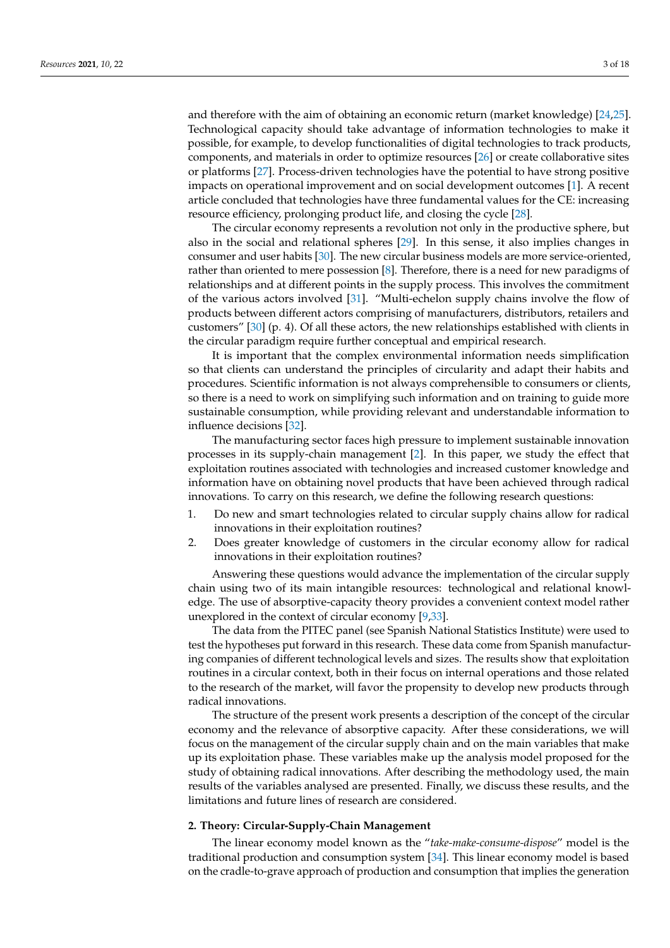and therefore with the aim of obtaining an economic return (market knowledge) [\[24,](#page-14-21)[25\]](#page-14-22). Technological capacity should take advantage of information technologies to make it possible, for example, to develop functionalities of digital technologies to track products, components, and materials in order to optimize resources [\[26\]](#page-14-23) or create collaborative sites or platforms [\[27\]](#page-14-24). Process-driven technologies have the potential to have strong positive impacts on operational improvement and on social development outcomes [\[1\]](#page-14-0). A recent article concluded that technologies have three fundamental values for the CE: increasing resource efficiency, prolonging product life, and closing the cycle [\[28\]](#page-14-25).

The circular economy represents a revolution not only in the productive sphere, but also in the social and relational spheres [\[29\]](#page-15-0). In this sense, it also implies changes in consumer and user habits [\[30\]](#page-15-1). The new circular business models are more service-oriented, rather than oriented to mere possession [\[8\]](#page-14-7). Therefore, there is a need for new paradigms of relationships and at different points in the supply process. This involves the commitment of the various actors involved [\[31\]](#page-15-2). "Multi-echelon supply chains involve the flow of products between different actors comprising of manufacturers, distributors, retailers and customers" [\[30\]](#page-15-1) (p. 4). Of all these actors, the new relationships established with clients in the circular paradigm require further conceptual and empirical research.

It is important that the complex environmental information needs simplification so that clients can understand the principles of circularity and adapt their habits and procedures. Scientific information is not always comprehensible to consumers or clients, so there is a need to work on simplifying such information and on training to guide more sustainable consumption, while providing relevant and understandable information to influence decisions [\[32\]](#page-15-3).

The manufacturing sector faces high pressure to implement sustainable innovation processes in its supply-chain management [\[2\]](#page-14-1). In this paper, we study the effect that exploitation routines associated with technologies and increased customer knowledge and information have on obtaining novel products that have been achieved through radical innovations. To carry on this research, we define the following research questions:

- 1. Do new and smart technologies related to circular supply chains allow for radical innovations in their exploitation routines?
- 2. Does greater knowledge of customers in the circular economy allow for radical innovations in their exploitation routines?

Answering these questions would advance the implementation of the circular supply chain using two of its main intangible resources: technological and relational knowledge. The use of absorptive-capacity theory provides a convenient context model rather unexplored in the context of circular economy [\[9,](#page-14-8)[33\]](#page-15-4).

The data from the PITEC panel (see Spanish National Statistics Institute) were used to test the hypotheses put forward in this research. These data come from Spanish manufacturing companies of different technological levels and sizes. The results show that exploitation routines in a circular context, both in their focus on internal operations and those related to the research of the market, will favor the propensity to develop new products through radical innovations.

The structure of the present work presents a description of the concept of the circular economy and the relevance of absorptive capacity. After these considerations, we will focus on the management of the circular supply chain and on the main variables that make up its exploitation phase. These variables make up the analysis model proposed for the study of obtaining radical innovations. After describing the methodology used, the main results of the variables analysed are presented. Finally, we discuss these results, and the limitations and future lines of research are considered.

# **2. Theory: Circular-Supply-Chain Management**

The linear economy model known as the "*take-make-consume-dispose*" model is the traditional production and consumption system [\[34\]](#page-15-5). This linear economy model is based on the cradle-to-grave approach of production and consumption that implies the generation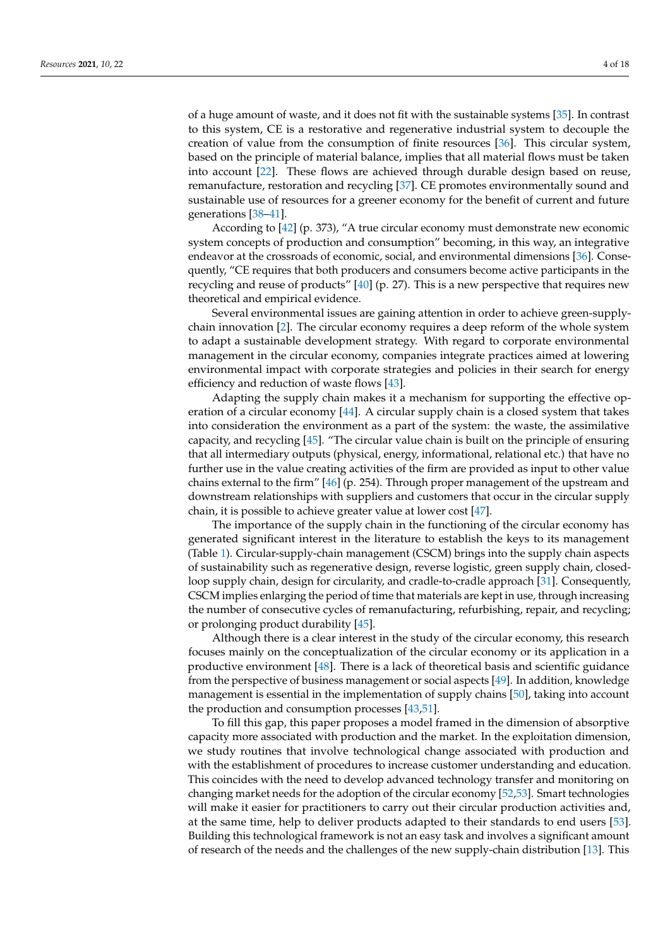of a huge amount of waste, and it does not fit with the sustainable systems [\[35\]](#page-15-6). In contrast to this system, CE is a restorative and regenerative industrial system to decouple the creation of value from the consumption of finite resources [\[36\]](#page-15-7). This circular system, based on the principle of material balance, implies that all material flows must be taken into account [\[22\]](#page-14-19). These flows are achieved through durable design based on reuse, remanufacture, restoration and recycling [\[37\]](#page-15-8). CE promotes environmentally sound and sustainable use of resources for a greener economy for the benefit of current and future generations [\[38](#page-15-9)[–41\]](#page-15-10).

According to [\[42\]](#page-15-11) (p. 373), "A true circular economy must demonstrate new economic system concepts of production and consumption" becoming, in this way, an integrative endeavor at the crossroads of economic, social, and environmental dimensions [\[36\]](#page-15-7). Consequently, "CE requires that both producers and consumers become active participants in the recycling and reuse of products" [\[40\]](#page-15-12) (p. 27). This is a new perspective that requires new theoretical and empirical evidence.

Several environmental issues are gaining attention in order to achieve green-supplychain innovation [\[2\]](#page-14-1). The circular economy requires a deep reform of the whole system to adapt a sustainable development strategy. With regard to corporate environmental management in the circular economy, companies integrate practices aimed at lowering environmental impact with corporate strategies and policies in their search for energy efficiency and reduction of waste flows [\[43\]](#page-15-13).

Adapting the supply chain makes it a mechanism for supporting the effective operation of a circular economy [\[44\]](#page-15-14). A circular supply chain is a closed system that takes into consideration the environment as a part of the system: the waste, the assimilative capacity, and recycling [\[45\]](#page-15-15). "The circular value chain is built on the principle of ensuring that all intermediary outputs (physical, energy, informational, relational etc.) that have no further use in the value creating activities of the firm are provided as input to other value chains external to the firm" [\[46\]](#page-15-16) (p. 254). Through proper management of the upstream and downstream relationships with suppliers and customers that occur in the circular supply chain, it is possible to achieve greater value at lower cost [\[47\]](#page-15-17).

The importance of the supply chain in the functioning of the circular economy has generated significant interest in the literature to establish the keys to its management (Table [1\)](#page-4-0). Circular-supply-chain management (CSCM) brings into the supply chain aspects of sustainability such as regenerative design, reverse logistic, green supply chain, closedloop supply chain, design for circularity, and cradle-to-cradle approach [\[31\]](#page-15-2). Consequently, CSCM implies enlarging the period of time that materials are kept in use, through increasing the number of consecutive cycles of remanufacturing, refurbishing, repair, and recycling; or prolonging product durability [\[45\]](#page-15-15).

Although there is a clear interest in the study of the circular economy, this research focuses mainly on the conceptualization of the circular economy or its application in a productive environment [\[48\]](#page-15-18). There is a lack of theoretical basis and scientific guidance from the perspective of business management or social aspects [\[49\]](#page-15-19). In addition, knowledge management is essential in the implementation of supply chains [\[50\]](#page-15-20), taking into account the production and consumption processes [\[43,](#page-15-13)[51\]](#page-15-21).

To fill this gap, this paper proposes a model framed in the dimension of absorptive capacity more associated with production and the market. In the exploitation dimension, we study routines that involve technological change associated with production and with the establishment of procedures to increase customer understanding and education. This coincides with the need to develop advanced technology transfer and monitoring on changing market needs for the adoption of the circular economy [\[52](#page-15-22)[,53\]](#page-15-23). Smart technologies will make it easier for practitioners to carry out their circular production activities and, at the same time, help to deliver products adapted to their standards to end users [\[53\]](#page-15-23). Building this technological framework is not an easy task and involves a significant amount of research of the needs and the challenges of the new supply-chain distribution [\[13\]](#page-14-11). This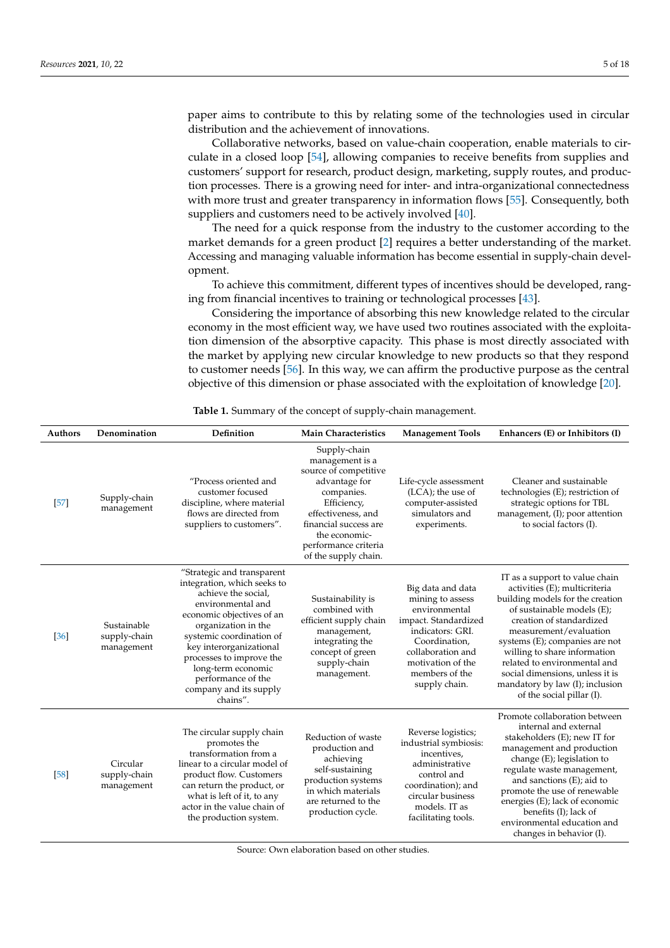paper aims to contribute to this by relating some of the technologies used in circular distribution and the achievement of innovations.

Collaborative networks, based on value-chain cooperation, enable materials to circulate in a closed loop [\[54\]](#page-15-24), allowing companies to receive benefits from supplies and customers' support for research, product design, marketing, supply routes, and production processes. There is a growing need for inter- and intra-organizational connectedness with more trust and greater transparency in information flows [\[55\]](#page-15-25). Consequently, both suppliers and customers need to be actively involved [\[40\]](#page-15-12).

The need for a quick response from the industry to the customer according to the market demands for a green product [\[2\]](#page-14-1) requires a better understanding of the market. Accessing and managing valuable information has become essential in supply-chain development.

To achieve this commitment, different types of incentives should be developed, ranging from financial incentives to training or technological processes [\[43\]](#page-15-13).

Considering the importance of absorbing this new knowledge related to the circular economy in the most efficient way, we have used two routines associated with the exploitation dimension of the absorptive capacity. This phase is most directly associated with the market by applying new circular knowledge to new products so that they respond to customer needs [\[56\]](#page-15-26). In this way, we can affirm the productive purpose as the central objective of this dimension or phase associated with the exploitation of knowledge [\[20\]](#page-14-17).

<span id="page-4-0"></span>

| <b>Authors</b> | Denomination                              | Definition                                                                                                                                                                                                                                                                                                                     | <b>Main Characteristics</b>                                                                                                                                                                                            | <b>Management Tools</b>                                                                                                                                                                          | Enhancers (E) or Inhibitors (I)                                                                                                                                                                                                                                                                                                                                                              |
|----------------|-------------------------------------------|--------------------------------------------------------------------------------------------------------------------------------------------------------------------------------------------------------------------------------------------------------------------------------------------------------------------------------|------------------------------------------------------------------------------------------------------------------------------------------------------------------------------------------------------------------------|--------------------------------------------------------------------------------------------------------------------------------------------------------------------------------------------------|----------------------------------------------------------------------------------------------------------------------------------------------------------------------------------------------------------------------------------------------------------------------------------------------------------------------------------------------------------------------------------------------|
| $[57]$         | Supply-chain<br>management                | "Process oriented and<br>customer focused<br>discipline, where material<br>flows are directed from<br>suppliers to customers".                                                                                                                                                                                                 | Supply-chain<br>management is a<br>source of competitive<br>advantage for<br>companies.<br>Efficiency,<br>effectiveness, and<br>financial success are<br>the economic-<br>performance criteria<br>of the supply chain. | Life-cycle assessment<br>$(LCA)$ ; the use of<br>computer-assisted<br>simulators and<br>experiments.                                                                                             | Cleaner and sustainable<br>technologies (E); restriction of<br>strategic options for TBL<br>management, (I); poor attention<br>to social factors (I).                                                                                                                                                                                                                                        |
| [36]           | Sustainable<br>supply-chain<br>management | "Strategic and transparent<br>integration, which seeks to<br>achieve the social,<br>environmental and<br>economic objectives of an<br>organization in the<br>systemic coordination of<br>key interorganizational<br>processes to improve the<br>long-term economic<br>performance of the<br>company and its supply<br>chains". | Sustainability is<br>combined with<br>efficient supply chain<br>management,<br>integrating the<br>concept of green<br>supply-chain<br>management.                                                                      | Big data and data<br>mining to assess<br>environmental<br>impact. Standardized<br>indicators: GRI.<br>Coordination,<br>collaboration and<br>motivation of the<br>members of the<br>supply chain. | IT as a support to value chain<br>activities (E); multicriteria<br>building models for the creation<br>of sustainable models (E);<br>creation of standardized<br>measurement/evaluation<br>systems (E); companies are not<br>willing to share information<br>related to environmental and<br>social dimensions, unless it is<br>mandatory by law (I); inclusion<br>of the social pillar (I). |
| [58]           | Circular<br>supply-chain<br>management    | The circular supply chain<br>promotes the<br>transformation from a<br>linear to a circular model of<br>product flow. Customers<br>can return the product, or<br>what is left of it, to any<br>actor in the value chain of<br>the production system.                                                                            | Reduction of waste<br>production and<br>achieving<br>self-sustaining<br>production systems<br>in which materials<br>are returned to the<br>production cycle.                                                           | Reverse logistics;<br>industrial symbiosis:<br>incentives,<br>administrative<br>control and<br>coordination); and<br>circular business<br>models. IT as<br>facilitating tools.                   | Promote collaboration between<br>internal and external<br>stakeholders (E); new IT for<br>management and production<br>change (E); legislation to<br>regulate waste management,<br>and sanctions $(E)$ ; aid to<br>promote the use of renewable<br>energies (E); lack of economic<br>benefits (I); lack of<br>environmental education and<br>changes in behavior (I).                        |

**Table 1.** Summary of the concept of supply-chain management.

Source: Own elaboration based on other studies.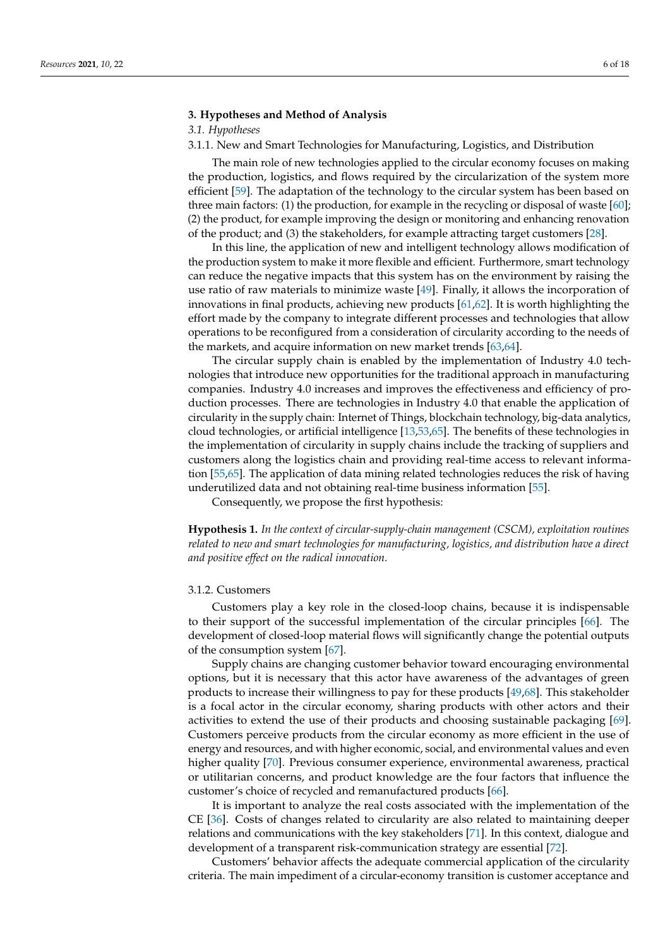# **3. Hypotheses and Method of Analysis**

# *3.1. Hypotheses*

3.1.1. New and Smart Technologies for Manufacturing, Logistics, and Distribution

The main role of new technologies applied to the circular economy focuses on making the production, logistics, and flows required by the circularization of the system more efficient [\[59\]](#page-16-1). The adaptation of the technology to the circular system has been based on three main factors: (1) the production, for example in the recycling or disposal of waste [\[60\]](#page-16-2); (2) the product, for example improving the design or monitoring and enhancing renovation of the product; and (3) the stakeholders, for example attracting target customers [\[28\]](#page-14-25).

In this line, the application of new and intelligent technology allows modification of the production system to make it more flexible and efficient. Furthermore, smart technology can reduce the negative impacts that this system has on the environment by raising the use ratio of raw materials to minimize waste [\[49\]](#page-15-19). Finally, it allows the incorporation of innovations in final products, achieving new products [\[61,](#page-16-3)[62\]](#page-16-4). It is worth highlighting the effort made by the company to integrate different processes and technologies that allow operations to be reconfigured from a consideration of circularity according to the needs of the markets, and acquire information on new market trends [\[63](#page-16-5)[,64\]](#page-16-6).

The circular supply chain is enabled by the implementation of Industry 4.0 technologies that introduce new opportunities for the traditional approach in manufacturing companies. Industry 4.0 increases and improves the effectiveness and efficiency of production processes. There are technologies in Industry 4.0 that enable the application of circularity in the supply chain: Internet of Things, blockchain technology, big-data analytics, cloud technologies, or artificial intelligence [\[13](#page-14-11)[,53](#page-15-23)[,65\]](#page-16-7). The benefits of these technologies in the implementation of circularity in supply chains include the tracking of suppliers and customers along the logistics chain and providing real-time access to relevant information [\[55,](#page-15-25)[65\]](#page-16-7). The application of data mining related technologies reduces the risk of having underutilized data and not obtaining real-time business information [\[55\]](#page-15-25).

Consequently, we propose the first hypothesis:

**Hypothesis 1.** *In the context of circular-supply-chain management (CSCM), exploitation routines related to new and smart technologies for manufacturing, logistics, and distribution have a direct and positive effect on the radical innovation.*

# 3.1.2. Customers

Customers play a key role in the closed-loop chains, because it is indispensable to their support of the successful implementation of the circular principles [\[66\]](#page-16-8). The development of closed-loop material flows will significantly change the potential outputs of the consumption system [\[67\]](#page-16-9).

Supply chains are changing customer behavior toward encouraging environmental options, but it is necessary that this actor have awareness of the advantages of green products to increase their willingness to pay for these products [\[49,](#page-15-19)[68\]](#page-16-10). This stakeholder is a focal actor in the circular economy, sharing products with other actors and their activities to extend the use of their products and choosing sustainable packaging [\[69\]](#page-16-11). Customers perceive products from the circular economy as more efficient in the use of energy and resources, and with higher economic, social, and environmental values and even higher quality [\[70\]](#page-16-12). Previous consumer experience, environmental awareness, practical or utilitarian concerns, and product knowledge are the four factors that influence the customer's choice of recycled and remanufactured products [\[66\]](#page-16-8).

It is important to analyze the real costs associated with the implementation of the CE [\[36\]](#page-15-7). Costs of changes related to circularity are also related to maintaining deeper relations and communications with the key stakeholders [\[71\]](#page-16-13). In this context, dialogue and development of a transparent risk-communication strategy are essential [\[72\]](#page-16-14).

Customers' behavior affects the adequate commercial application of the circularity criteria. The main impediment of a circular-economy transition is customer acceptance and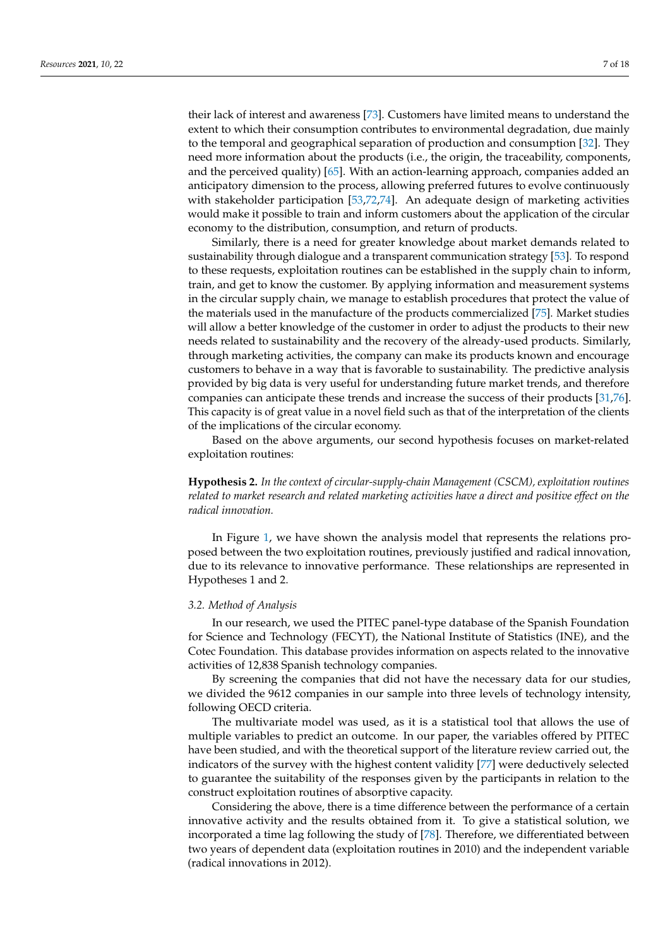their lack of interest and awareness [\[73\]](#page-16-15). Customers have limited means to understand the extent to which their consumption contributes to environmental degradation, due mainly to the temporal and geographical separation of production and consumption [\[32\]](#page-15-3). They need more information about the products (i.e., the origin, the traceability, components, and the perceived quality) [\[65\]](#page-16-7). With an action-learning approach, companies added an anticipatory dimension to the process, allowing preferred futures to evolve continuously with stakeholder participation [\[53,](#page-15-23)[72,](#page-16-14)[74\]](#page-16-16). An adequate design of marketing activities would make it possible to train and inform customers about the application of the circular economy to the distribution, consumption, and return of products.

Similarly, there is a need for greater knowledge about market demands related to sustainability through dialogue and a transparent communication strategy [\[53\]](#page-15-23). To respond to these requests, exploitation routines can be established in the supply chain to inform, train, and get to know the customer. By applying information and measurement systems in the circular supply chain, we manage to establish procedures that protect the value of the materials used in the manufacture of the products commercialized [\[75\]](#page-16-17). Market studies will allow a better knowledge of the customer in order to adjust the products to their new needs related to sustainability and the recovery of the already-used products. Similarly, through marketing activities, the company can make its products known and encourage customers to behave in a way that is favorable to sustainability. The predictive analysis provided by big data is very useful for understanding future market trends, and therefore companies can anticipate these trends and increase the success of their products [\[31,](#page-15-2)[76\]](#page-16-18). This capacity is of great value in a novel field such as that of the interpretation of the clients of the implications of the circular economy.

Based on the above arguments, our second hypothesis focuses on market-related exploitation routines:

**Hypothesis 2.** *In the context of circular-supply-chain Management (CSCM), exploitation routines related to market research and related marketing activities have a direct and positive effect on the radical innovation.*

In Figure [1,](#page-7-0) we have shown the analysis model that represents the relations proposed between the two exploitation routines, previously justified and radical innovation, due to its relevance to innovative performance. These relationships are represented in Hypotheses 1 and 2.

# *3.2. Method of Analysis*

In our research, we used the PITEC panel-type database of the Spanish Foundation for Science and Technology (FECYT), the National Institute of Statistics (INE), and the Cotec Foundation. This database provides information on aspects related to the innovative activities of 12,838 Spanish technology companies.

By screening the companies that did not have the necessary data for our studies, we divided the 9612 companies in our sample into three levels of technology intensity, following OECD criteria.

The multivariate model was used, as it is a statistical tool that allows the use of multiple variables to predict an outcome. In our paper, the variables offered by PITEC have been studied, and with the theoretical support of the literature review carried out, the indicators of the survey with the highest content validity [\[77\]](#page-16-19) were deductively selected to guarantee the suitability of the responses given by the participants in relation to the construct exploitation routines of absorptive capacity.

Considering the above, there is a time difference between the performance of a certain innovative activity and the results obtained from it. To give a statistical solution, we incorporated a time lag following the study of [\[78\]](#page-16-20). Therefore, we differentiated between two years of dependent data (exploitation routines in 2010) and the independent variable (radical innovations in 2012).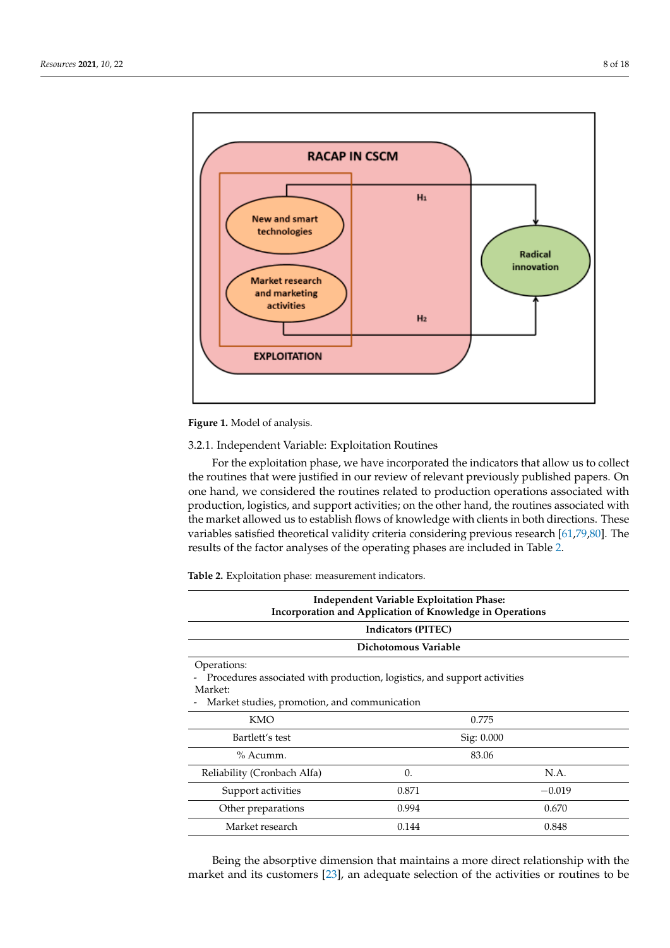<span id="page-7-0"></span>

**Figure 1.** Model of analysis. **Figure 1.** Model of analysis.

# 3.2.1. Independent Variable: Exploitation Routines

For the exploitation phase, we have incorporated the indicators that allow us to collect the routines that were justified in our review of relevant previously published papers. On one hand, we considered the routines related to production operations associated with production, logistics, and support activities; on the other hand, the routines associated with the market allowed us to establish flows of knowledge with clients in both directions. These variables satisfied theoretical validity criteria considering previous research [\[61](#page-16-3)[,79,](#page-16-21)[80\]](#page-16-22). The results of the factor analyses of the operating phases are included in Table [2.](#page-7-1)  $\frac{1}{\sqrt{2}}$  used, as it is a statistical tool that allows that allows that allows that allows the use of multiplexity that  $\frac{1}{\sqrt{2}}$ 

<span id="page-7-1"></span>Table 2. Exploitation phase: measurement indicators. beth studied, and with the theoretical support of the theoretical support of the literature review carried out,

| <b>Independent Variable Exploitation Phase:</b><br>Incorporation and Application of Knowledge in Operations                                        |            |          |  |  |  |  |  |  |  |
|----------------------------------------------------------------------------------------------------------------------------------------------------|------------|----------|--|--|--|--|--|--|--|
| Indicators (PITEC)                                                                                                                                 |            |          |  |  |  |  |  |  |  |
| Dichotomous Variable                                                                                                                               |            |          |  |  |  |  |  |  |  |
| Operations:<br>Procedures associated with production, logistics, and support activities<br>Market:<br>Market studies, promotion, and communication |            |          |  |  |  |  |  |  |  |
| <b>KMO</b><br>0.775                                                                                                                                |            |          |  |  |  |  |  |  |  |
| Bartlett's test<br>Sig: 0.000                                                                                                                      |            |          |  |  |  |  |  |  |  |
| $%$ Acumm.                                                                                                                                         |            | 83.06    |  |  |  |  |  |  |  |
| Reliability (Cronbach Alfa)                                                                                                                        | $\Omega$ . | N.A.     |  |  |  |  |  |  |  |
| Support activities                                                                                                                                 | 0.871      | $-0.019$ |  |  |  |  |  |  |  |
| Other preparations                                                                                                                                 | 0.994      | 0.670    |  |  |  |  |  |  |  |
| Market research<br>0.144<br>0.848                                                                                                                  |            |          |  |  |  |  |  |  |  |

Being the absorptive dimension that maintains a more direct relationship with the market and its customers [\[23\]](#page-14-20), an adequate selection of the activities or routines to be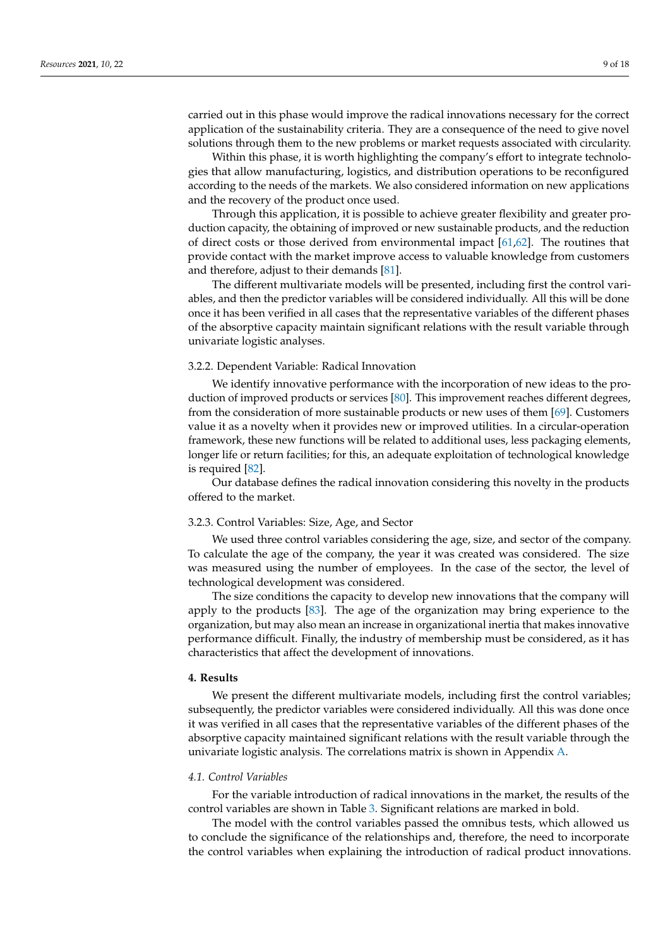carried out in this phase would improve the radical innovations necessary for the correct application of the sustainability criteria. They are a consequence of the need to give novel solutions through them to the new problems or market requests associated with circularity.

Within this phase, it is worth highlighting the company's effort to integrate technologies that allow manufacturing, logistics, and distribution operations to be reconfigured according to the needs of the markets. We also considered information on new applications and the recovery of the product once used.

Through this application, it is possible to achieve greater flexibility and greater production capacity, the obtaining of improved or new sustainable products, and the reduction of direct costs or those derived from environmental impact [\[61,](#page-16-3)[62\]](#page-16-4). The routines that provide contact with the market improve access to valuable knowledge from customers and therefore, adjust to their demands [\[81\]](#page-16-23).

The different multivariate models will be presented, including first the control variables, and then the predictor variables will be considered individually. All this will be done once it has been verified in all cases that the representative variables of the different phases of the absorptive capacity maintain significant relations with the result variable through univariate logistic analyses.

# 3.2.2. Dependent Variable: Radical Innovation

We identify innovative performance with the incorporation of new ideas to the production of improved products or services [\[80\]](#page-16-22). This improvement reaches different degrees, from the consideration of more sustainable products or new uses of them [\[69\]](#page-16-11). Customers value it as a novelty when it provides new or improved utilities. In a circular-operation framework, these new functions will be related to additional uses, less packaging elements, longer life or return facilities; for this, an adequate exploitation of technological knowledge is required [\[82\]](#page-16-24).

Our database defines the radical innovation considering this novelty in the products offered to the market.

# 3.2.3. Control Variables: Size, Age, and Sector

We used three control variables considering the age, size, and sector of the company. To calculate the age of the company, the year it was created was considered. The size was measured using the number of employees. In the case of the sector, the level of technological development was considered.

The size conditions the capacity to develop new innovations that the company will apply to the products [\[83\]](#page-16-25). The age of the organization may bring experience to the organization, but may also mean an increase in organizational inertia that makes innovative performance difficult. Finally, the industry of membership must be considered, as it has characteristics that affect the development of innovations.

#### **4. Results**

We present the different multivariate models, including first the control variables; subsequently, the predictor variables were considered individually. All this was done once it was verified in all cases that the representative variables of the different phases of the absorptive capacity maintained significant relations with the result variable through the univariate logistic analysis. The correlations matrix is shown in Appendix [A.](#page-13-0)

# *4.1. Control Variables*

For the variable introduction of radical innovations in the market, the results of the control variables are shown in Table [3.](#page-9-0) Significant relations are marked in bold.

The model with the control variables passed the omnibus tests, which allowed us to conclude the significance of the relationships and, therefore, the need to incorporate the control variables when explaining the introduction of radical product innovations.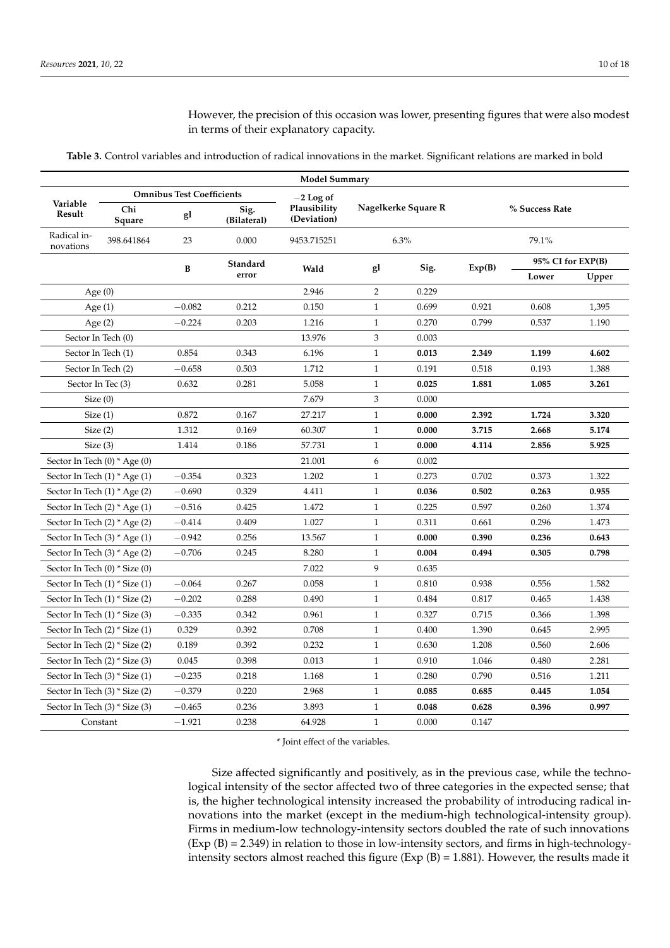However, the precision of this occasion was lower, presenting figures that were also modest in terms of their explanatory capacity.

**Table 3.** Control variables and introduction of radical innovations in the market. Significant relations are marked in bold

<span id="page-9-0"></span>

| <b>Model Summary</b>                   |                                  |                                                    |                     |                                            |                       |                     |                |                   |       |  |
|----------------------------------------|----------------------------------|----------------------------------------------------|---------------------|--------------------------------------------|-----------------------|---------------------|----------------|-------------------|-------|--|
| Variable<br>Result                     | Chi<br>Square                    | <b>Omnibus Test Coefficients</b><br>g <sub>1</sub> | Sig.<br>(Bilateral) | $-2$ Log of<br>Plausibility<br>(Deviation) | Nagelkerke Square R   |                     | % Success Rate |                   |       |  |
| Radical in-<br>novations               | 398.641864                       | 23                                                 | 0.000               | 9453.715251                                | 6.3%                  |                     | 79.1%          |                   |       |  |
|                                        |                                  | B                                                  | Standard            | Wald                                       | gl                    | Sig.                |                | 95% CI for EXP(B) |       |  |
|                                        |                                  |                                                    | error               |                                            |                       |                     |                | Lower             | Upper |  |
|                                        | Age $(0)$                        |                                                    |                     | 2.946                                      | 2                     | 0.229               |                |                   |       |  |
|                                        | Age $(1)$                        | $-0.082$                                           | 0.212               | 0.150                                      |                       | 0.699<br>0.921<br>1 |                | 0.608             | 1,395 |  |
|                                        | Age $(2)$                        | $-0.224$                                           | 0.203               | 1.216                                      | $\mathbf{1}$          | 0.270               | 0.799          | 0.537             | 1.190 |  |
|                                        | Sector In Tech (0)               |                                                    |                     | 13.976                                     | 3                     | 0.003               |                |                   |       |  |
|                                        | Sector In Tech (1)               | 0.854                                              | 0.343               | 6.196                                      | $\mathbf{1}$          | 0.013               | 2.349          | 1.199             | 4.602 |  |
|                                        | Sector In Tech (2)               | $-0.658$                                           | 0.503               | 1.712                                      | $\mathbf{1}$          | 0.191               | 0.518          | 0.193             | 1.388 |  |
|                                        | Sector In Tec (3)                | 0.632                                              | 0.281               | 5.058                                      | $\mathbf{1}$          | 0.025               | 1.881          | 1.085             | 3.261 |  |
| Size(0)                                |                                  |                                                    |                     | 7.679                                      | 3                     | 0.000               |                |                   |       |  |
| Size(1)                                |                                  | 0.872                                              | 0.167               | 27.217                                     | $\mathbf{1}$          | 0.000               | 2.392          | 1.724             | 3.320 |  |
| Size(2)                                |                                  | 1.312                                              | 0.169               | 60.307                                     | $\mathbf{1}$          | 0.000               | 3.715          | 2.668             | 5.174 |  |
| Size(3)                                |                                  | 1.414                                              | 0.186               | 57.731                                     | $\mathbf{1}$          | 0.000               | 4.114          | 2.856             | 5.925 |  |
| Sector In Tech $(0)$ * Age $(0)$       |                                  |                                                    |                     | 21.001                                     | 6                     | 0.002               |                |                   |       |  |
| Sector In Tech $(1)$ * Age $(1)$       |                                  | $-0.354$                                           | 0.323               | 1.202                                      | $\mathbf{1}$          | 0.273               | 0.702          | 0.373             | 1.322 |  |
|                                        | Sector In Tech $(1)$ * Age $(2)$ | $-0.690$                                           | 0.329               | 4.411                                      | 1                     | 0.036               | 0.502          | 0.263             | 0.955 |  |
|                                        | Sector In Tech $(2)$ * Age $(1)$ | $-0.516$                                           | 0.425               | 1.472                                      | $\mathbf{1}$          | 0.225               | 0.597          | 0.260             | 1.374 |  |
|                                        | Sector In Tech (2) * Age (2)     | $-0.414$                                           | 0.409               | 1.027                                      | $\mathbf{1}$          | 0.311               | 0.661          | 0.296             | 1.473 |  |
|                                        | Sector In Tech $(3)$ * Age $(1)$ | $-0.942$                                           | 0.256               | 13.567                                     | $\mathbf{1}$<br>0.000 |                     | 0.390          | 0.236             | 0.643 |  |
|                                        | Sector In Tech (3) * Age (2)     | $-0.706$                                           | 0.245               | 8.280                                      | 0.004<br>1            |                     | 0.494          | 0.305             | 0.798 |  |
|                                        | Sector In Tech (0) * Size (0)    |                                                    |                     | 7.022                                      | 9                     | 0.635               |                |                   |       |  |
| Sector In Tech (1) * Size (1)          |                                  | $-0.064$                                           | 0.267               | 0.058                                      | 0.810<br>1            |                     | 0.938          | 0.556             | 1.582 |  |
| Sector In Tech (1) * Size (2)          |                                  | $-0.202$                                           | 0.288               | 0.490                                      | 0.484<br>$\mathbf{1}$ |                     | 0.817          | 0.465             | 1.438 |  |
| Sector In Tech (1) * Size (3)          |                                  | $-0.335$                                           | 0.342               | 0.961                                      | 0.327<br>1            |                     | 0.715          | 0.366             | 1.398 |  |
| Sector In Tech (2) * Size (1)<br>0.329 |                                  | 0.392                                              | 0.708               | 1<br>0.400                                 |                       | 1.390               | 0.645          | 2.995             |       |  |
| 0.189<br>Sector In Tech (2) * Size (2) |                                  | 0.392                                              | 0.232               | 1                                          | 0.630                 |                     | 0.560          | 2.606             |       |  |
| Sector In Tech (2) * Size (3)          |                                  | 0.045                                              | 0.398               | 0.013                                      | 1                     | 0.910               | 1.046          | 0.480             | 2.281 |  |
| Sector In Tech (3) * Size (1)          |                                  | $-0.235$                                           | 0.218               | 1.168                                      | $\mathbf{1}$          | 0.280               | 0.790          | 0.516             | 1.211 |  |
|                                        | Sector In Tech (3) * Size (2)    | $-0.379$                                           | 0.220               | 2.968                                      | $\mathbf{1}$<br>0.085 |                     | 0.685          | 0.445             | 1.054 |  |
| Sector In Tech (3) * Size (3)          |                                  | $-0.465$                                           | 0.236               | 3.893                                      | $\mathbf{1}$          | 0.048               | 0.628          | 0.396             | 0.997 |  |
|                                        | Constant                         | $-1.921$                                           | 0.238               | 64.928                                     | $\mathbf{1}$          | 0.000               | 0.147          |                   |       |  |

\* Joint effect of the variables.

Size affected significantly and positively, as in the previous case, while the technological intensity of the sector affected two of three categories in the expected sense; that is, the higher technological intensity increased the probability of introducing radical innovations into the market (except in the medium-high technological-intensity group). Firms in medium-low technology-intensity sectors doubled the rate of such innovations  $(Exp (B) = 2.349)$  in relation to those in low-intensity sectors, and firms in high-technologyintensity sectors almost reached this figure (Exp (B) = 1.881). However, the results made it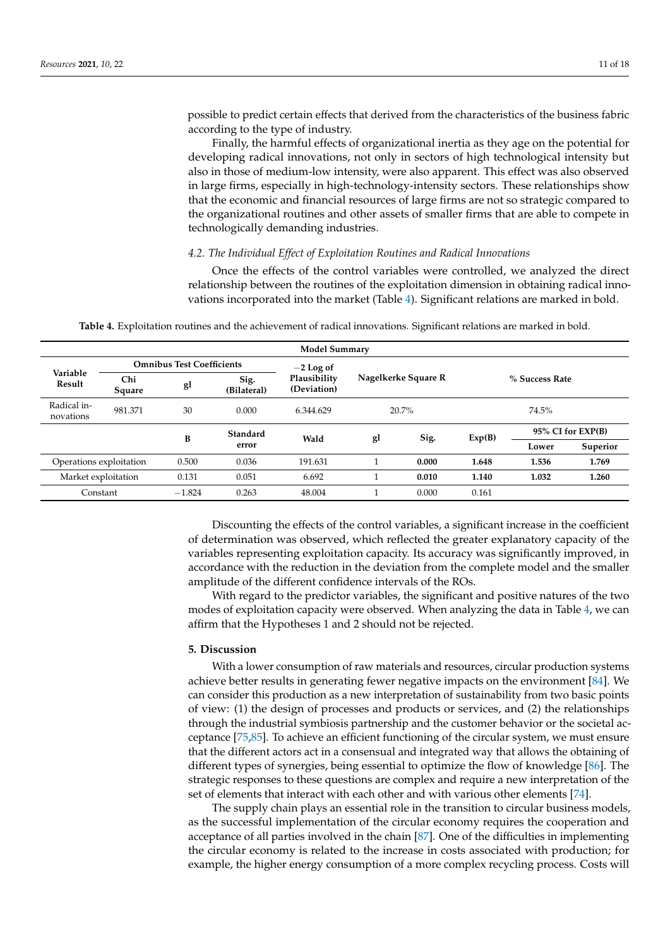possible to predict certain effects that derived from the characteristics of the business fabric according to the type of industry.

Finally, the harmful effects of organizational inertia as they age on the potential for developing radical innovations, not only in sectors of high technological intensity but also in those of medium-low intensity, were also apparent. This effect was also observed in large firms, especially in high-technology-intensity sectors. These relationships show that the economic and financial resources of large firms are not so strategic compared to the organizational routines and other assets of smaller firms that are able to compete in technologically demanding industries.

# *4.2. The Individual Effect of Exploitation Routines and Radical Innovations*

Once the effects of the control variables were controlled, we analyzed the direct relationship between the routines of the exploitation dimension in obtaining radical innovations incorporated into the market (Table [4\)](#page-10-0). Significant relations are marked in bold.

<span id="page-10-0"></span>

| <b>Model Summary</b>     |               |                                  |                     |                             |       |                     |                |                   |          |  |  |
|--------------------------|---------------|----------------------------------|---------------------|-----------------------------|-------|---------------------|----------------|-------------------|----------|--|--|
|                          |               | <b>Omnibus Test Coefficients</b> |                     | $-2$ Log of                 |       |                     | % Success Rate |                   |          |  |  |
| Variable<br>Result       | Chi<br>Square | gl                               | Sig.<br>(Bilateral) | Plausibility<br>(Deviation) |       | Nagelkerke Square R |                |                   |          |  |  |
| Radical in-<br>novations | 981.371       | 30                               | 0.000               | 6.344.629                   | 20.7% |                     | 74.5%          |                   |          |  |  |
|                          |               | B                                | Standard            | Wald                        | gl    | Sig.                | Exp(B)         | 95% CI for EXP(B) |          |  |  |
|                          |               |                                  | error               |                             |       |                     |                | Lower             | Superior |  |  |
| Operations exploitation  |               | 0.500                            | 0.036               | 191.631                     |       | 0.000               | 1.648          | 1.536             | 1.769    |  |  |
| Market exploitation      |               | 0.131                            | 0.051               | 6.692                       |       | 0.010               | 1.140          | 1.032             | 1.260    |  |  |
| Constant                 |               | $-1.824$                         | 0.263               | 48.004                      |       | 0.000               | 0.161          |                   |          |  |  |

**Table 4.** Exploitation routines and the achievement of radical innovations. Significant relations are marked in bold.

Discounting the effects of the control variables, a significant increase in the coefficient of determination was observed, which reflected the greater explanatory capacity of the variables representing exploitation capacity. Its accuracy was significantly improved, in accordance with the reduction in the deviation from the complete model and the smaller amplitude of the different confidence intervals of the ROs.

With regard to the predictor variables, the significant and positive natures of the two modes of exploitation capacity were observed. When analyzing the data in Table [4,](#page-10-0) we can affirm that the Hypotheses 1 and 2 should not be rejected.

# **5. Discussion**

With a lower consumption of raw materials and resources, circular production systems achieve better results in generating fewer negative impacts on the environment [\[84\]](#page-16-26). We can consider this production as a new interpretation of sustainability from two basic points of view: (1) the design of processes and products or services, and (2) the relationships through the industrial symbiosis partnership and the customer behavior or the societal acceptance [\[75,](#page-16-17)[85\]](#page-16-27). To achieve an efficient functioning of the circular system, we must ensure that the different actors act in a consensual and integrated way that allows the obtaining of different types of synergies, being essential to optimize the flow of knowledge [\[86\]](#page-16-28). The strategic responses to these questions are complex and require a new interpretation of the set of elements that interact with each other and with various other elements [\[74\]](#page-16-16).

The supply chain plays an essential role in the transition to circular business models, as the successful implementation of the circular economy requires the cooperation and acceptance of all parties involved in the chain [\[87\]](#page-17-0). One of the difficulties in implementing the circular economy is related to the increase in costs associated with production; for example, the higher energy consumption of a more complex recycling process. Costs will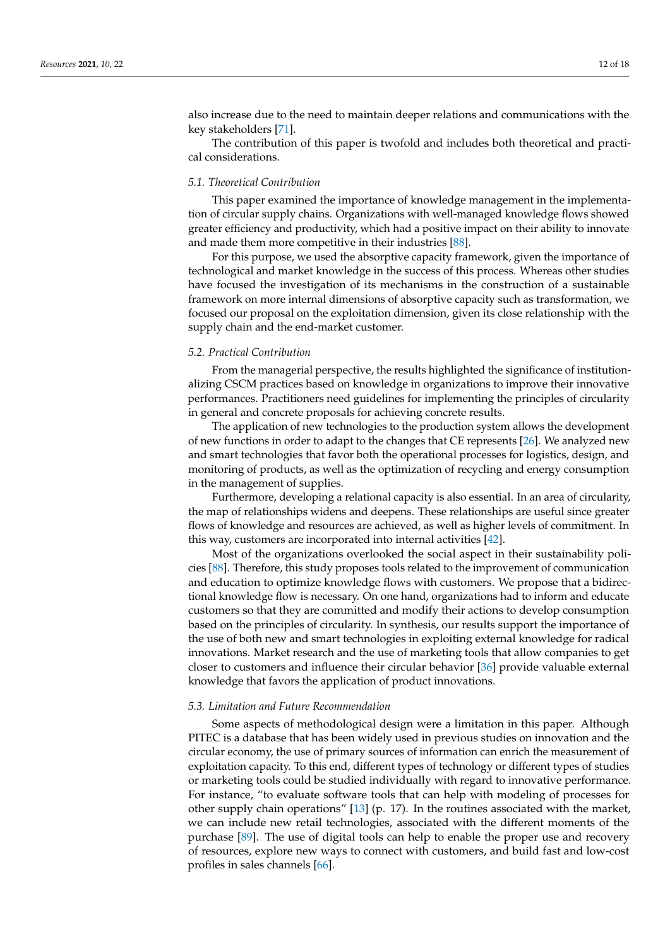also increase due to the need to maintain deeper relations and communications with the key stakeholders [\[71\]](#page-16-13).

The contribution of this paper is twofold and includes both theoretical and practical considerations.

# *5.1. Theoretical Contribution*

This paper examined the importance of knowledge management in the implementation of circular supply chains. Organizations with well-managed knowledge flows showed greater efficiency and productivity, which had a positive impact on their ability to innovate and made them more competitive in their industries [\[88\]](#page-17-1).

For this purpose, we used the absorptive capacity framework, given the importance of technological and market knowledge in the success of this process. Whereas other studies have focused the investigation of its mechanisms in the construction of a sustainable framework on more internal dimensions of absorptive capacity such as transformation, we focused our proposal on the exploitation dimension, given its close relationship with the supply chain and the end-market customer.

# *5.2. Practical Contribution*

From the managerial perspective, the results highlighted the significance of institutionalizing CSCM practices based on knowledge in organizations to improve their innovative performances. Practitioners need guidelines for implementing the principles of circularity in general and concrete proposals for achieving concrete results.

The application of new technologies to the production system allows the development of new functions in order to adapt to the changes that CE represents [\[26\]](#page-14-23). We analyzed new and smart technologies that favor both the operational processes for logistics, design, and monitoring of products, as well as the optimization of recycling and energy consumption in the management of supplies.

Furthermore, developing a relational capacity is also essential. In an area of circularity, the map of relationships widens and deepens. These relationships are useful since greater flows of knowledge and resources are achieved, as well as higher levels of commitment. In this way, customers are incorporated into internal activities [\[42\]](#page-15-11).

Most of the organizations overlooked the social aspect in their sustainability policies [\[88\]](#page-17-1). Therefore, this study proposes tools related to the improvement of communication and education to optimize knowledge flows with customers. We propose that a bidirectional knowledge flow is necessary. On one hand, organizations had to inform and educate customers so that they are committed and modify their actions to develop consumption based on the principles of circularity. In synthesis, our results support the importance of the use of both new and smart technologies in exploiting external knowledge for radical innovations. Market research and the use of marketing tools that allow companies to get closer to customers and influence their circular behavior [\[36\]](#page-15-7) provide valuable external knowledge that favors the application of product innovations.

# *5.3. Limitation and Future Recommendation*

Some aspects of methodological design were a limitation in this paper. Although PITEC is a database that has been widely used in previous studies on innovation and the circular economy, the use of primary sources of information can enrich the measurement of exploitation capacity. To this end, different types of technology or different types of studies or marketing tools could be studied individually with regard to innovative performance. For instance, "to evaluate software tools that can help with modeling of processes for other supply chain operations" [\[13\]](#page-14-11) (p. 17). In the routines associated with the market, we can include new retail technologies, associated with the different moments of the purchase [\[89\]](#page-17-2). The use of digital tools can help to enable the proper use and recovery of resources, explore new ways to connect with customers, and build fast and low-cost profiles in sales channels [\[66\]](#page-16-8).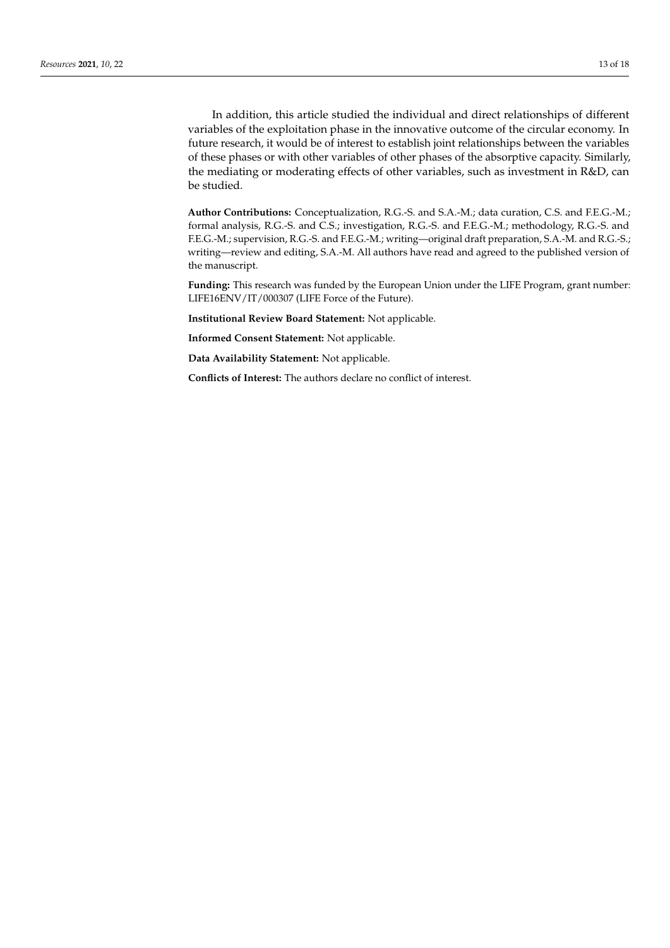In addition, this article studied the individual and direct relationships of different variables of the exploitation phase in the innovative outcome of the circular economy. In future research, it would be of interest to establish joint relationships between the variables of these phases or with other variables of other phases of the absorptive capacity. Similarly, the mediating or moderating effects of other variables, such as investment in R&D, can be studied.

**Author Contributions:** Conceptualization, R.G.-S. and S.A.-M.; data curation, C.S. and F.E.G.-M.; formal analysis, R.G.-S. and C.S.; investigation, R.G.-S. and F.E.G.-M.; methodology, R.G.-S. and F.E.G.-M.; supervision, R.G.-S. and F.E.G.-M.; writing—original draft preparation, S.A.-M. and R.G.-S.; writing—review and editing, S.A.-M. All authors have read and agreed to the published version of the manuscript.

**Funding:** This research was funded by the European Union under the LIFE Program, grant number: LIFE16ENV/IT/000307 (LIFE Force of the Future).

**Institutional Review Board Statement:** Not applicable.

**Informed Consent Statement:** Not applicable.

**Data Availability Statement:** Not applicable.

**Conflicts of Interest:** The authors declare no conflict of interest.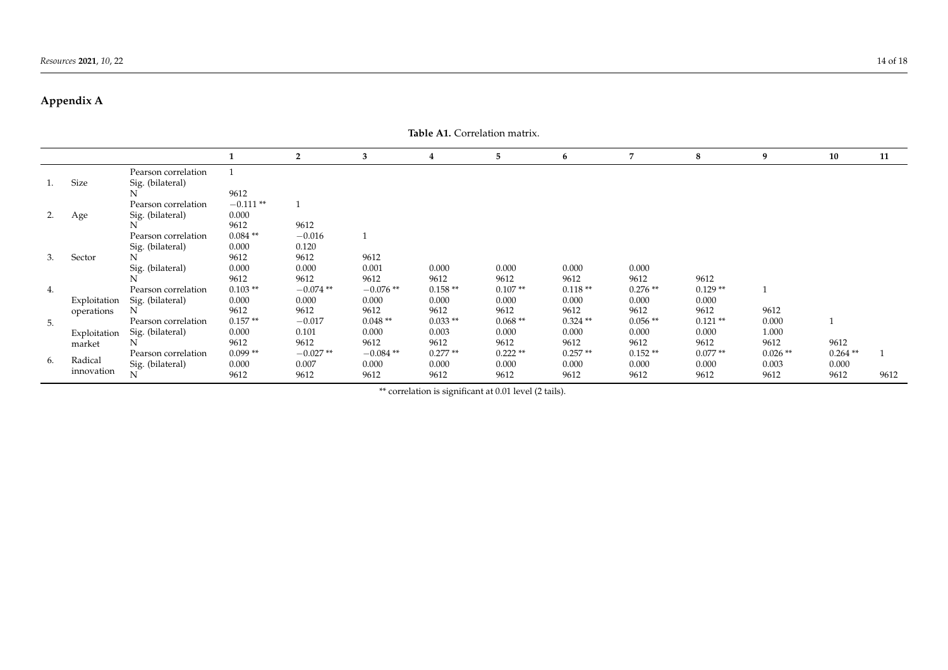# **Appendix A**

<span id="page-13-0"></span>

|    | Table A1. Correlation matrix. |                                              |                       |                             |                             |                            |                    |                    |                            |                            |                    |                     |      |
|----|-------------------------------|----------------------------------------------|-----------------------|-----------------------------|-----------------------------|----------------------------|--------------------|--------------------|----------------------------|----------------------------|--------------------|---------------------|------|
|    |                               |                                              | 1                     | $\overline{2}$              | 3                           | $\overline{4}$             | 5                  | 6                  | 7                          | 8                          | 9                  | 10                  | 11   |
| 1. | Size                          | Pearson correlation<br>Sig. (bilateral)      | $\mathbf{1}$          |                             |                             |                            |                    |                    |                            |                            |                    |                     |      |
|    |                               | N<br>Pearson correlation                     | 9612<br>$-0.111**$    |                             |                             |                            |                    |                    |                            |                            |                    |                     |      |
| 2. | Age                           | Sig. (bilateral)                             | 0.000<br>9612         | 9612                        |                             |                            |                    |                    |                            |                            |                    |                     |      |
|    |                               | Pearson correlation<br>Sig. (bilateral)      | $0.084**$<br>0.000    | $-0.016$<br>0.120           |                             |                            |                    |                    |                            |                            |                    |                     |      |
| 3. | Sector                        | N<br>Sig. (bilateral)                        | 9612<br>0.000<br>9612 | 9612<br>0.000               | 9612<br>0.001               | 0.000                      | 0.000<br>9612      | 0.000<br>9612      | 0.000                      |                            |                    |                     |      |
| 4. | Exploitation                  | Pearson correlation                          | $0.103**$<br>0.000    | 9612<br>$-0.074**$<br>0.000 | 9612<br>$-0.076**$<br>0.000 | 9612<br>$0.158**$<br>0.000 | $0.107**$<br>0.000 | $0.118**$<br>0.000 | 9612<br>$0.276**$<br>0.000 | 9612<br>$0.129**$<br>0.000 |                    |                     |      |
|    | operations                    | Sig. (bilateral)<br>N<br>Pearson correlation | 9612<br>$0.157**$     | 9612<br>$-0.017$            | 9612<br>$0.048**$           | 9612<br>$0.033**$          | 9612<br>$0.068**$  | 9612<br>$0.324**$  | 9612<br>$0.056**$          | 9612<br>$0.121**$          | 9612<br>0.000      |                     |      |
| 5. | Exploitation<br>market        | Sig. (bilateral)                             | 0.000<br>9612         | 0.101<br>9612               | 0.000<br>9612               | 0.003<br>9612              | 0.000<br>9612      | 0.000<br>9612      | 0.000<br>9612              | 0.000<br>9612              | 1.000<br>9612      | 9612                |      |
| 6. | Radical                       | Pearson correlation<br>Sig. (bilateral)      | $0.099**$<br>0.000    | $-0.027**$<br>0.007         | $-0.084$ **<br>0.000        | $0.277**$<br>0.000         | $0.222**$<br>0.000 | $0.257**$<br>0.000 | $0.152**$<br>0.000         | $0.077**$<br>0.000         | $0.026**$<br>0.003 | $0.264$ **<br>0.000 |      |
|    | innovation                    | N                                            | 9612                  | 9612                        | 9612                        | 9612                       | 9612               | 9612               | 9612                       | 9612                       | 9612               | 9612                | 9612 |

\*\* correlation is significant at 0.01 level (2 tails).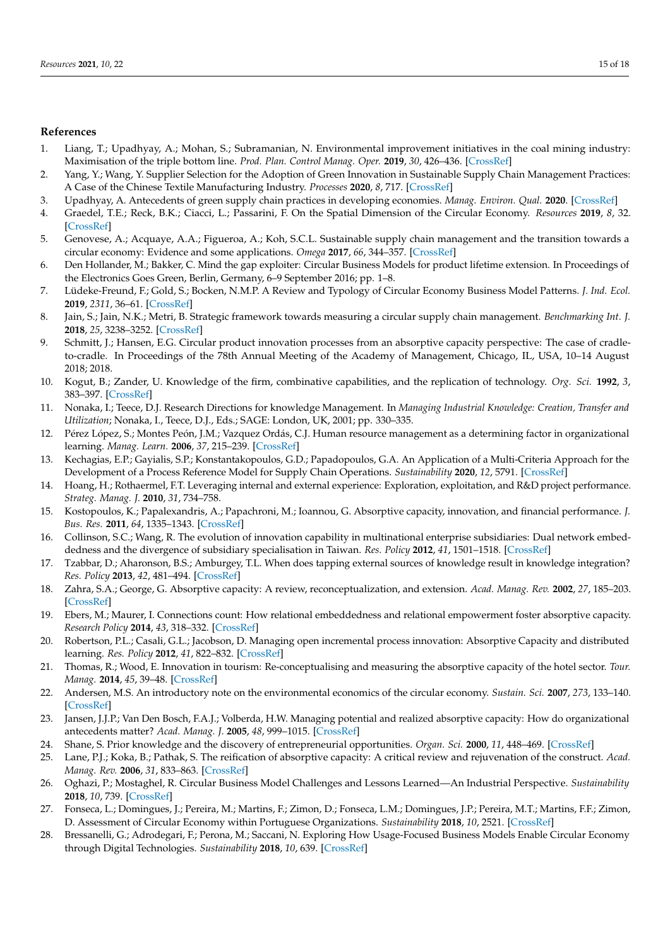# **References**

- <span id="page-14-0"></span>1. Liang, T.; Upadhyay, A.; Mohan, S.; Subramanian, N. Environmental improvement initiatives in the coal mining industry: Maximisation of the triple bottom line. *Prod. Plan. Control Manag. Oper.* **2019**, *30*, 426–436. [\[CrossRef\]](http://doi.org/10.1080/09537287.2018.1501813)
- <span id="page-14-1"></span>2. Yang, Y.; Wang, Y. Supplier Selection for the Adoption of Green Innovation in Sustainable Supply Chain Management Practices: A Case of the Chinese Textile Manufacturing Industry. *Processes* **2020**, *8*, 717. [\[CrossRef\]](http://doi.org/10.3390/pr8060717)
- <span id="page-14-2"></span>3. Upadhyay, A. Antecedents of green supply chain practices in developing economies. *Manag. Environ. Qual.* **2020**. [\[CrossRef\]](http://doi.org/10.1108/MEQ-12-2019-0274)
- <span id="page-14-3"></span>4. Graedel, T.E.; Reck, B.K.; Ciacci, L.; Passarini, F. On the Spatial Dimension of the Circular Economy. *Resources* **2019**, *8*, 32. [\[CrossRef\]](http://doi.org/10.3390/resources8010032)
- <span id="page-14-4"></span>5. Genovese, A.; Acquaye, A.A.; Figueroa, A.; Koh, S.C.L. Sustainable supply chain management and the transition towards a circular economy: Evidence and some applications. *Omega* **2017**, *66*, 344–357. [\[CrossRef\]](http://doi.org/10.1016/j.omega.2015.05.015)
- <span id="page-14-5"></span>6. Den Hollander, M.; Bakker, C. Mind the gap exploiter: Circular Business Models for product lifetime extension. In Proceedings of the Electronics Goes Green, Berlin, Germany, 6–9 September 2016; pp. 1–8.
- <span id="page-14-6"></span>7. Lüdeke-Freund, F.; Gold, S.; Bocken, N.M.P. A Review and Typology of Circular Economy Business Model Patterns. *J. Ind. Ecol.* **2019**, *2311*, 36–61. [\[CrossRef\]](http://doi.org/10.1111/jiec.12763)
- <span id="page-14-7"></span>8. Jain, S.; Jain, N.K.; Metri, B. Strategic framework towards measuring a circular supply chain management. *Benchmarking Int. J.* **2018**, *25*, 3238–3252. [\[CrossRef\]](http://doi.org/10.1108/BIJ-11-2017-0304)
- <span id="page-14-8"></span>9. Schmitt, J.; Hansen, E.G. Circular product innovation processes from an absorptive capacity perspective: The case of cradleto-cradle. In Proceedings of the 78th Annual Meeting of the Academy of Management, Chicago, IL, USA, 10–14 August 2018; 2018.
- <span id="page-14-9"></span>10. Kogut, B.; Zander, U. Knowledge of the firm, combinative capabilities, and the replication of technology. *Org. Sci.* **1992**, *3*, 383–397. [\[CrossRef\]](http://doi.org/10.1287/orsc.3.3.383)
- 11. Nonaka, I.; Teece, D.J. Research Directions for knowledge Management. In *Managing Industrial Knowledge: Creation, Transfer and Utilization*; Nonaka, I., Teece, D.J., Eds.; SAGE: London, UK, 2001; pp. 330–335.
- <span id="page-14-10"></span>12. Pérez López, S.; Montes Peón, J.M.; Vazquez Ordás, C.J. Human resource management as a determining factor in organizational learning. *Manag. Learn.* **2006**, *37*, 215–239. [\[CrossRef\]](http://doi.org/10.1177/1350507606063443)
- <span id="page-14-11"></span>13. Kechagias, E.P.; Gayialis, S.P.; Konstantakopoulos, G.D.; Papadopoulos, G.A. An Application of a Multi-Criteria Approach for the Development of a Process Reference Model for Supply Chain Operations. *Sustainability* **2020**, *12*, 5791. [\[CrossRef\]](http://doi.org/10.3390/su12145791)
- <span id="page-14-12"></span>14. Hoang, H.; Rothaermel, F.T. Leveraging internal and external experience: Exploration, exploitation, and R&D project performance. *Strateg. Manag. J.* **2010**, *31*, 734–758.
- 15. Kostopoulos, K.; Papalexandris, A.; Papachroni, M.; Ioannou, G. Absorptive capacity, innovation, and financial performance. *J. Bus. Res.* **2011**, *64*, 1335–1343. [\[CrossRef\]](http://doi.org/10.1016/j.jbusres.2010.12.005)
- <span id="page-14-13"></span>16. Collinson, S.C.; Wang, R. The evolution of innovation capability in multinational enterprise subsidiaries: Dual network embeddedness and the divergence of subsidiary specialisation in Taiwan. *Res. Policy* **2012**, *41*, 1501–1518. [\[CrossRef\]](http://doi.org/10.1016/j.respol.2012.05.007)
- <span id="page-14-14"></span>17. Tzabbar, D.; Aharonson, B.S.; Amburgey, T.L. When does tapping external sources of knowledge result in knowledge integration? *Res. Policy* **2013**, *42*, 481–494. [\[CrossRef\]](http://doi.org/10.1016/j.respol.2012.07.007)
- <span id="page-14-15"></span>18. Zahra, S.A.; George, G. Absorptive capacity: A review, reconceptualization, and extension. *Acad. Manag. Rev.* **2002**, *27*, 185–203. [\[CrossRef\]](http://doi.org/10.5465/amr.2002.6587995)
- <span id="page-14-16"></span>19. Ebers, M.; Maurer, I. Connections count: How relational embeddedness and relational empowerment foster absorptive capacity. *Research Policy* **2014**, *43*, 318–332. [\[CrossRef\]](http://doi.org/10.1016/j.respol.2013.10.017)
- <span id="page-14-17"></span>20. Robertson, P.L.; Casali, G.L.; Jacobson, D. Managing open incremental process innovation: Absorptive Capacity and distributed learning. *Res. Policy* **2012**, *41*, 822–832. [\[CrossRef\]](http://doi.org/10.1016/j.respol.2012.02.008)
- <span id="page-14-18"></span>21. Thomas, R.; Wood, E. Innovation in tourism: Re-conceptualising and measuring the absorptive capacity of the hotel sector. *Tour. Manag.* **2014**, *45*, 39–48. [\[CrossRef\]](http://doi.org/10.1016/j.tourman.2014.03.012)
- <span id="page-14-19"></span>22. Andersen, M.S. An introductory note on the environmental economics of the circular economy. *Sustain. Sci.* **2007**, *273*, 133–140. [\[CrossRef\]](http://doi.org/10.1007/s11625-006-0013-6)
- <span id="page-14-20"></span>23. Jansen, J.J.P.; Van Den Bosch, F.A.J.; Volberda, H.W. Managing potential and realized absorptive capacity: How do organizational antecedents matter? *Acad. Manag. J.* **2005**, *48*, 999–1015. [\[CrossRef\]](http://doi.org/10.5465/amj.2005.19573106)
- <span id="page-14-21"></span>24. Shane, S. Prior knowledge and the discovery of entrepreneurial opportunities. *Organ. Sci.* **2000**, *11*, 448–469. [\[CrossRef\]](http://doi.org/10.1287/orsc.11.4.448.14602)
- <span id="page-14-22"></span>25. Lane, P.J.; Koka, B.; Pathak, S. The reification of absorptive capacity: A critical review and rejuvenation of the construct. *Acad. Manag. Rev.* **2006**, *31*, 833–863. [\[CrossRef\]](http://doi.org/10.5465/amr.2006.22527456)
- <span id="page-14-23"></span>26. Oghazi, P.; Mostaghel, R. Circular Business Model Challenges and Lessons Learned—An Industrial Perspective. *Sustainability* **2018**, *10*, 739. [\[CrossRef\]](http://doi.org/10.3390/su10030739)
- <span id="page-14-24"></span>27. Fonseca, L.; Domingues, J.; Pereira, M.; Martins, F.; Zimon, D.; Fonseca, L.M.; Domingues, J.P.; Pereira, M.T.; Martins, F.F.; Zimon, D. Assessment of Circular Economy within Portuguese Organizations. *Sustainability* **2018**, *10*, 2521. [\[CrossRef\]](http://doi.org/10.3390/su10072521)
- <span id="page-14-25"></span>28. Bressanelli, G.; Adrodegari, F.; Perona, M.; Saccani, N. Exploring How Usage-Focused Business Models Enable Circular Economy through Digital Technologies. *Sustainability* **2018**, *10*, 639. [\[CrossRef\]](http://doi.org/10.3390/su10030639)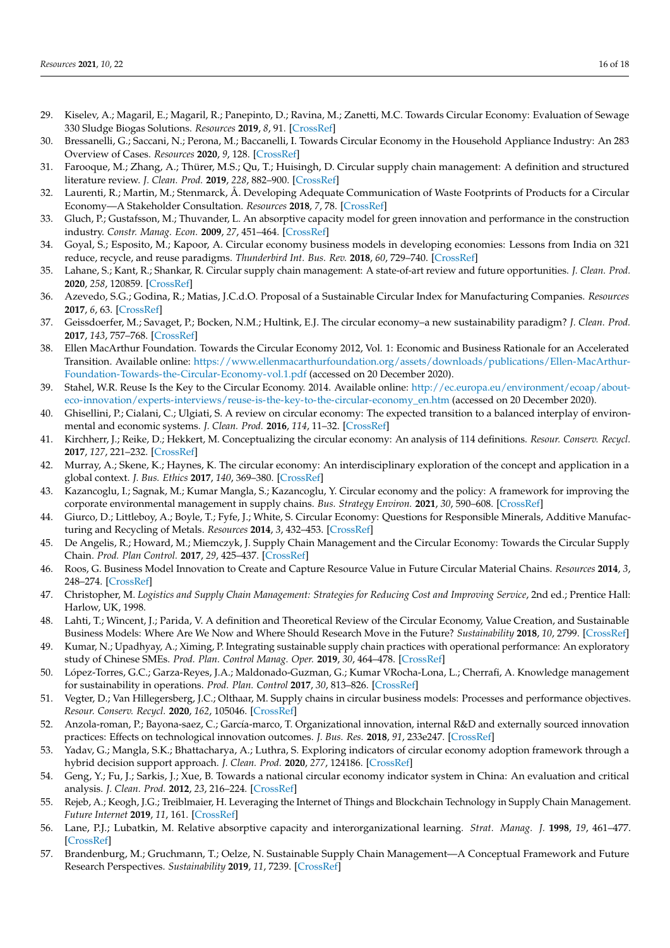- <span id="page-15-0"></span>29. Kiselev, A.; Magaril, E.; Magaril, R.; Panepinto, D.; Ravina, M.; Zanetti, M.C. Towards Circular Economy: Evaluation of Sewage 330 Sludge Biogas Solutions. *Resources* **2019**, *8*, 91. [\[CrossRef\]](http://doi.org/10.3390/resources8020091)
- <span id="page-15-1"></span>30. Bressanelli, G.; Saccani, N.; Perona, M.; Baccanelli, I. Towards Circular Economy in the Household Appliance Industry: An 283 Overview of Cases. *Resources* **2020**, *9*, 128. [\[CrossRef\]](http://doi.org/10.3390/resources9110128)
- <span id="page-15-2"></span>31. Farooque, M.; Zhang, A.; Thürer, M.S.; Qu, T.; Huisingh, D. Circular supply chain management: A definition and structured literature review. *J. Clean. Prod.* **2019**, *228*, 882–900. [\[CrossRef\]](http://doi.org/10.1016/j.jclepro.2019.04.303)
- <span id="page-15-3"></span>32. Laurenti, R.; Martin, M.; Stenmarck, Å. Developing Adequate Communication of Waste Footprints of Products for a Circular Economy—A Stakeholder Consultation. *Resources* **2018**, *7*, 78. [\[CrossRef\]](http://doi.org/10.3390/resources7040078)
- <span id="page-15-4"></span>33. Gluch, P.; Gustafsson, M.; Thuvander, L. An absorptive capacity model for green innovation and performance in the construction industry. *Constr. Manag. Econ.* **2009**, *27*, 451–464. [\[CrossRef\]](http://doi.org/10.1080/01446190902896645)
- <span id="page-15-5"></span>34. Goyal, S.; Esposito, M.; Kapoor, A. Circular economy business models in developing economies: Lessons from India on 321 reduce, recycle, and reuse paradigms. *Thunderbird Int. Bus. Rev.* **2018**, *60*, 729–740. [\[CrossRef\]](http://doi.org/10.1002/tie.21883)
- <span id="page-15-6"></span>35. Lahane, S.; Kant, R.; Shankar, R. Circular supply chain management: A state-of-art review and future opportunities. *J. Clean. Prod.* **2020**, *258*, 120859. [\[CrossRef\]](http://doi.org/10.1016/j.jclepro.2020.120859)
- <span id="page-15-7"></span>36. Azevedo, S.G.; Godina, R.; Matias, J.C.d.O. Proposal of a Sustainable Circular Index for Manufacturing Companies. *Resources* **2017**, *6*, 63. [\[CrossRef\]](http://doi.org/10.3390/resources6040063)
- <span id="page-15-8"></span>37. Geissdoerfer, M.; Savaget, P.; Bocken, N.M.; Hultink, E.J. The circular economy–a new sustainability paradigm? *J. Clean. Prod.* **2017**, *143*, 757–768. [\[CrossRef\]](http://doi.org/10.1016/j.jclepro.2016.12.048)
- <span id="page-15-9"></span>38. Ellen MacArthur Foundation. Towards the Circular Economy 2012, Vol. 1: Economic and Business Rationale for an Accelerated Transition. Available online: [https://www.ellenmacarthurfoundation.org/assets/downloads/publications/Ellen-MacArthur-](https://www.ellenmacarthurfoundation.org/assets/downloads/publications/Ellen-MacArthur-Foundation-Towards-the-Circular-Economy-vol.1.pdf)[Foundation-Towards-the-Circular-Economy-vol.1.pdf](https://www.ellenmacarthurfoundation.org/assets/downloads/publications/Ellen-MacArthur-Foundation-Towards-the-Circular-Economy-vol.1.pdf) (accessed on 20 December 2020).
- 39. Stahel, W.R. Reuse Is the Key to the Circular Economy. 2014. Available online: [http://ec.europa.eu/environment/ecoap/about](http://ec.europa.eu/environment/ecoap/about-eco-innovation/experts-interviews/reuse-is-the-key-to-the-circular-economy_en.htm)[eco-innovation/experts-interviews/reuse-is-the-key-to-the-circular-economy\\_en.htm](http://ec.europa.eu/environment/ecoap/about-eco-innovation/experts-interviews/reuse-is-the-key-to-the-circular-economy_en.htm) (accessed on 20 December 2020).
- <span id="page-15-12"></span>40. Ghisellini, P.; Cialani, C.; Ulgiati, S. A review on circular economy: The expected transition to a balanced interplay of environmental and economic systems. *J. Clean. Prod.* **2016**, *114*, 11–32. [\[CrossRef\]](http://doi.org/10.1016/j.jclepro.2015.09.007)
- <span id="page-15-10"></span>41. Kirchherr, J.; Reike, D.; Hekkert, M. Conceptualizing the circular economy: An analysis of 114 definitions. *Resour. Conserv. Recycl.* **2017**, *127*, 221–232. [\[CrossRef\]](http://doi.org/10.1016/j.resconrec.2017.09.005)
- <span id="page-15-11"></span>42. Murray, A.; Skene, K.; Haynes, K. The circular economy: An interdisciplinary exploration of the concept and application in a global context. *J. Bus. Ethics* **2017**, *140*, 369–380. [\[CrossRef\]](http://doi.org/10.1007/s10551-015-2693-2)
- <span id="page-15-13"></span>43. Kazancoglu, I.; Sagnak, M.; Kumar Mangla, S.; Kazancoglu, Y. Circular economy and the policy: A framework for improving the corporate environmental management in supply chains. *Bus. Strategy Environ.* **2021**, *30*, 590–608. [\[CrossRef\]](http://doi.org/10.1002/bse.2641)
- <span id="page-15-14"></span>44. Giurco, D.; Littleboy, A.; Boyle, T.; Fyfe, J.; White, S. Circular Economy: Questions for Responsible Minerals, Additive Manufacturing and Recycling of Metals. *Resources* **2014**, *3*, 432–453. [\[CrossRef\]](http://doi.org/10.3390/resources3020432)
- <span id="page-15-15"></span>45. De Angelis, R.; Howard, M.; Miemczyk, J. Supply Chain Management and the Circular Economy: Towards the Circular Supply Chain. *Prod. Plan Control.* **2017**, *29*, 425–437. [\[CrossRef\]](http://doi.org/10.1080/09537287.2018.1449244)
- <span id="page-15-16"></span>46. Roos, G. Business Model Innovation to Create and Capture Resource Value in Future Circular Material Chains. *Resources* **2014**, *3*, 248–274. [\[CrossRef\]](http://doi.org/10.3390/resources3010248)
- <span id="page-15-17"></span>47. Christopher, M. *Logistics and Supply Chain Management: Strategies for Reducing Cost and Improving Service*, 2nd ed.; Prentice Hall: Harlow, UK, 1998.
- <span id="page-15-18"></span>48. Lahti, T.; Wincent, J.; Parida, V. A definition and Theoretical Review of the Circular Economy, Value Creation, and Sustainable Business Models: Where Are We Now and Where Should Research Move in the Future? *Sustainability* **2018**, *10*, 2799. [\[CrossRef\]](http://doi.org/10.3390/su10082799)
- <span id="page-15-19"></span>49. Kumar, N.; Upadhyay, A.; Ximing, P. Integrating sustainable supply chain practices with operational performance: An exploratory study of Chinese SMEs. *Prod. Plan. Control Manag. Oper.* **2019**, *30*, 464–478. [\[CrossRef\]](http://doi.org/10.1080/09537287.2018.1501816)
- <span id="page-15-20"></span>50. López-Torres, G.C.; Garza-Reyes, J.A.; Maldonado-Guzman, G.; Kumar VRocha-Lona, L.; Cherrafi, A. Knowledge management for sustainability in operations. *Prod. Plan. Control* **2017**, *30*, 813–826. [\[CrossRef\]](http://doi.org/10.1080/09537287.2019.1582091)
- <span id="page-15-21"></span>51. Vegter, D.; Van Hillegersberg, J.C.; Olthaar, M. Supply chains in circular business models: Processes and performance objectives. *Resour. Conserv. Recycl.* **2020**, *162*, 105046. [\[CrossRef\]](http://doi.org/10.1016/j.resconrec.2020.105046)
- <span id="page-15-22"></span>52. Anzola-roman, P.; Bayona-saez, C.; García-marco, T. Organizational innovation, internal R&D and externally sourced innovation practices: Effects on technological innovation outcomes. *J. Bus. Res.* **2018**, *91*, 233e247. [\[CrossRef\]](http://doi.org/10.1016/j.jbusres.2018.06.014)
- <span id="page-15-23"></span>53. Yadav, G.; Mangla, S.K.; Bhattacharya, A.; Luthra, S. Exploring indicators of circular economy adoption framework through a hybrid decision support approach. *J. Clean. Prod.* **2020**, *277*, 124186. [\[CrossRef\]](http://doi.org/10.1016/j.jclepro.2020.124186)
- <span id="page-15-24"></span>54. Geng, Y.; Fu, J.; Sarkis, J.; Xue, B. Towards a national circular economy indicator system in China: An evaluation and critical analysis. *J. Clean. Prod.* **2012**, *23*, 216–224. [\[CrossRef\]](http://doi.org/10.1016/j.jclepro.2011.07.005)
- <span id="page-15-25"></span>55. Rejeb, A.; Keogh, J.G.; Treiblmaier, H. Leveraging the Internet of Things and Blockchain Technology in Supply Chain Management. *Future Internet* **2019**, *11*, 161. [\[CrossRef\]](http://doi.org/10.3390/fi11070161)
- <span id="page-15-26"></span>56. Lane, P.J.; Lubatkin, M. Relative absorptive capacity and interorganizational learning. *Strat. Manag. J.* **1998**, *19*, 461–477. [\[CrossRef\]](http://doi.org/10.1002/(SICI)1097-0266(199805)19:5<461::AID-SMJ953>3.0.CO;2-L)
- <span id="page-15-27"></span>57. Brandenburg, M.; Gruchmann, T.; Oelze, N. Sustainable Supply Chain Management—A Conceptual Framework and Future Research Perspectives. *Sustainability* **2019**, *11*, 7239. [\[CrossRef\]](http://doi.org/10.3390/su11247239)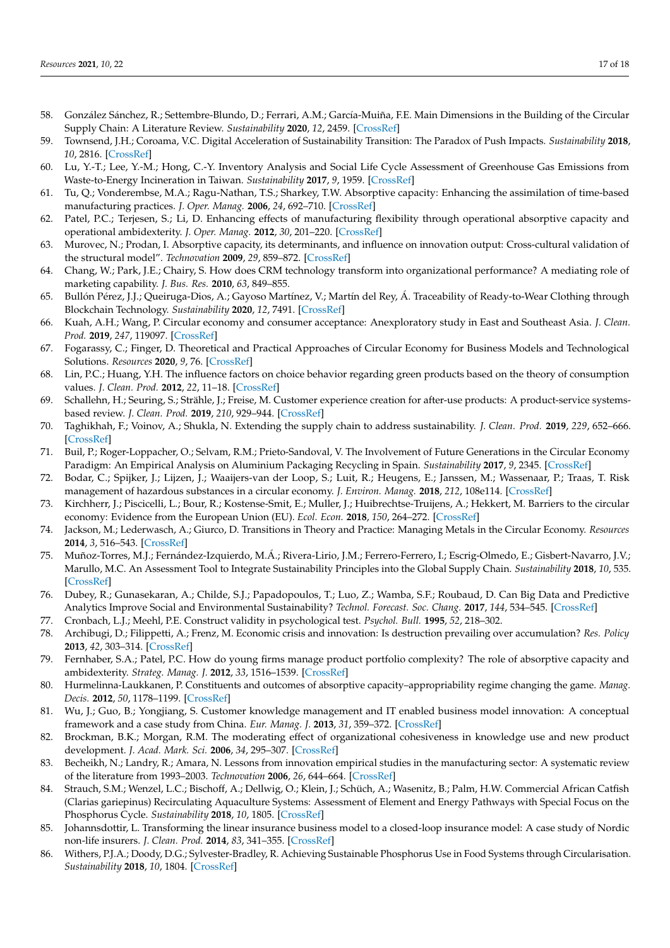- <span id="page-16-0"></span>58. González Sánchez, R.; Settembre-Blundo, D.; Ferrari, A.M.; García-Muiña, F.E. Main Dimensions in the Building of the Circular Supply Chain: A Literature Review. *Sustainability* **2020**, *12*, 2459. [\[CrossRef\]](http://doi.org/10.3390/su12062459)
- <span id="page-16-1"></span>59. Townsend, J.H.; Coroama, V.C. Digital Acceleration of Sustainability Transition: The Paradox of Push Impacts. *Sustainability* **2018**, *10*, 2816. [\[CrossRef\]](http://doi.org/10.3390/su10082816)
- <span id="page-16-2"></span>60. Lu, Y.-T.; Lee, Y.-M.; Hong, C.-Y. Inventory Analysis and Social Life Cycle Assessment of Greenhouse Gas Emissions from Waste-to-Energy Incineration in Taiwan. *Sustainability* **2017**, *9*, 1959. [\[CrossRef\]](http://doi.org/10.3390/su9111959)
- <span id="page-16-3"></span>61. Tu, Q.; Vonderembse, M.A.; Ragu-Nathan, T.S.; Sharkey, T.W. Absorptive capacity: Enhancing the assimilation of time-based manufacturing practices. *J. Oper. Manag.* **2006**, *24*, 692–710. [\[CrossRef\]](http://doi.org/10.1016/j.jom.2005.05.004)
- <span id="page-16-4"></span>62. Patel, P.C.; Terjesen, S.; Li, D. Enhancing effects of manufacturing flexibility through operational absorptive capacity and operational ambidexterity. *J. Oper. Manag.* **2012**, *30*, 201–220. [\[CrossRef\]](http://doi.org/10.1016/j.jom.2011.10.004)
- <span id="page-16-5"></span>63. Murovec, N.; Prodan, I. Absorptive capacity, its determinants, and influence on innovation output: Cross-cultural validation of the structural model". *Technovation* **2009**, *29*, 859–872. [\[CrossRef\]](http://doi.org/10.1016/j.technovation.2009.05.010)
- <span id="page-16-6"></span>64. Chang, W.; Park, J.E.; Chairy, S. How does CRM technology transform into organizational performance? A mediating role of marketing capability. *J. Bus. Res.* **2010**, *63*, 849–855.
- <span id="page-16-7"></span>65. Bullón Pérez, J.J.; Queiruga-Dios, A.; Gayoso Martínez, V.; Martín del Rey, Á. Traceability of Ready-to-Wear Clothing through Blockchain Technology. *Sustainability* **2020**, *12*, 7491. [\[CrossRef\]](http://doi.org/10.3390/su12187491)
- <span id="page-16-8"></span>66. Kuah, A.H.; Wang, P. Circular economy and consumer acceptance: Anexploratory study in East and Southeast Asia. *J. Clean. Prod.* **2019**, *247*, 119097. [\[CrossRef\]](http://doi.org/10.1016/j.jclepro.2019.119097)
- <span id="page-16-9"></span>67. Fogarassy, C.; Finger, D. Theoretical and Practical Approaches of Circular Economy for Business Models and Technological Solutions. *Resources* **2020**, *9*, 76. [\[CrossRef\]](http://doi.org/10.3390/resources9060076)
- <span id="page-16-10"></span>68. Lin, P.C.; Huang, Y.H. The influence factors on choice behavior regarding green products based on the theory of consumption values. *J. Clean. Prod.* **2012**, *22*, 11–18. [\[CrossRef\]](http://doi.org/10.1016/j.jclepro.2011.10.002)
- <span id="page-16-11"></span>69. Schallehn, H.; Seuring, S.; Strähle, J.; Freise, M. Customer experience creation for after-use products: A product-service systemsbased review. *J. Clean. Prod.* **2019**, *210*, 929–944. [\[CrossRef\]](http://doi.org/10.1016/j.jclepro.2018.10.292)
- <span id="page-16-12"></span>70. Taghikhah, F.; Voinov, A.; Shukla, N. Extending the supply chain to address sustainability. *J. Clean. Prod.* **2019**, *229*, 652–666. [\[CrossRef\]](http://doi.org/10.1016/j.jclepro.2019.05.051)
- <span id="page-16-13"></span>71. Buil, P.; Roger-Loppacher, O.; Selvam, R.M.; Prieto-Sandoval, V. The Involvement of Future Generations in the Circular Economy Paradigm: An Empirical Analysis on Aluminium Packaging Recycling in Spain. *Sustainability* **2017**, *9*, 2345. [\[CrossRef\]](http://doi.org/10.3390/su9122345)
- <span id="page-16-14"></span>72. Bodar, C.; Spijker, J.; Lijzen, J.; Waaijers-van der Loop, S.; Luit, R.; Heugens, E.; Janssen, M.; Wassenaar, P.; Traas, T. Risk management of hazardous substances in a circular economy. *J. Environ. Manag.* **2018**, *212*, 108e114. [\[CrossRef\]](http://doi.org/10.1016/j.jenvman.2018.02.014)
- <span id="page-16-15"></span>73. Kirchherr, J.; Piscicelli, L.; Bour, R.; Kostense-Smit, E.; Muller, J.; Huibrechtse-Truijens, A.; Hekkert, M. Barriers to the circular economy: Evidence from the European Union (EU). *Ecol. Econ.* **2018**, *150*, 264–272. [\[CrossRef\]](http://doi.org/10.1016/j.ecolecon.2018.04.028)
- <span id="page-16-16"></span>74. Jackson, M.; Lederwasch, A.; Giurco, D. Transitions in Theory and Practice: Managing Metals in the Circular Economy. *Resources* **2014**, *3*, 516–543. [\[CrossRef\]](http://doi.org/10.3390/resources3030516)
- <span id="page-16-17"></span>75. Muñoz-Torres, M.J.; Fernández-Izquierdo, M.Á.; Rivera-Lirio, J.M.; Ferrero-Ferrero, I.; Escrig-Olmedo, E.; Gisbert-Navarro, J.V.; Marullo, M.C. An Assessment Tool to Integrate Sustainability Principles into the Global Supply Chain. *Sustainability* **2018**, *10*, 535. [\[CrossRef\]](http://doi.org/10.3390/su10020535)
- <span id="page-16-18"></span>76. Dubey, R.; Gunasekaran, A.; Childe, S.J.; Papadopoulos, T.; Luo, Z.; Wamba, S.F.; Roubaud, D. Can Big Data and Predictive Analytics Improve Social and Environmental Sustainability? *Technol. Forecast. Soc. Chang.* **2017**, *144*, 534–545. [\[CrossRef\]](http://doi.org/10.1016/j.techfore.2017.06.020)
- <span id="page-16-19"></span>77. Cronbach, L.J.; Meehl, P.E. Construct validity in psychological test. *Psychol. Bull.* **1995**, *52*, 218–302.
- <span id="page-16-20"></span>78. Archibugi, D.; Filippetti, A.; Frenz, M. Economic crisis and innovation: Is destruction prevailing over accumulation? *Res. Policy* **2013**, *42*, 303–314. [\[CrossRef\]](http://doi.org/10.1016/j.respol.2012.07.002)
- <span id="page-16-21"></span>79. Fernhaber, S.A.; Patel, P.C. How do young firms manage product portfolio complexity? The role of absorptive capacity and ambidexterity. *Strateg. Manag. J.* **2012**, *33*, 1516–1539. [\[CrossRef\]](http://doi.org/10.1002/smj.1994)
- <span id="page-16-22"></span>80. Hurmelinna-Laukkanen, P. Constituents and outcomes of absorptive capacity–appropriability regime changing the game. *Manag. Decis.* **2012**, *50*, 1178–1199. [\[CrossRef\]](http://doi.org/10.1108/00251741211246950)
- <span id="page-16-23"></span>81. Wu, J.; Guo, B.; Yongjiang, S. Customer knowledge management and IT enabled business model innovation: A conceptual framework and a case study from China. *Eur. Manag. J.* **2013**, *31*, 359–372. [\[CrossRef\]](http://doi.org/10.1016/j.emj.2013.02.001)
- <span id="page-16-24"></span>82. Brockman, B.K.; Morgan, R.M. The moderating effect of organizational cohesiveness in knowledge use and new product development. *J. Acad. Mark. Sci.* **2006**, *34*, 295–307. [\[CrossRef\]](http://doi.org/10.1177/0092070306286707)
- <span id="page-16-25"></span>83. Becheikh, N.; Landry, R.; Amara, N. Lessons from innovation empirical studies in the manufacturing sector: A systematic review of the literature from 1993–2003. *Technovation* **2006**, *26*, 644–664. [\[CrossRef\]](http://doi.org/10.1016/j.technovation.2005.06.016)
- <span id="page-16-26"></span>84. Strauch, S.M.; Wenzel, L.C.; Bischoff, A.; Dellwig, O.; Klein, J.; Schüch, A.; Wasenitz, B.; Palm, H.W. Commercial African Catfish (Clarias gariepinus) Recirculating Aquaculture Systems: Assessment of Element and Energy Pathways with Special Focus on the Phosphorus Cycle. *Sustainability* **2018**, *10*, 1805. [\[CrossRef\]](http://doi.org/10.3390/su10061805)
- <span id="page-16-27"></span>85. Johannsdottir, L. Transforming the linear insurance business model to a closed-loop insurance model: A case study of Nordic non-life insurers. *J. Clean. Prod.* **2014**, *83*, 341–355. [\[CrossRef\]](http://doi.org/10.1016/j.jclepro.2014.07.010)
- <span id="page-16-28"></span>86. Withers, P.J.A.; Doody, D.G.; Sylvester-Bradley, R. Achieving Sustainable Phosphorus Use in Food Systems through Circularisation. *Sustainability* **2018**, *10*, 1804. [\[CrossRef\]](http://doi.org/10.3390/su10061804)